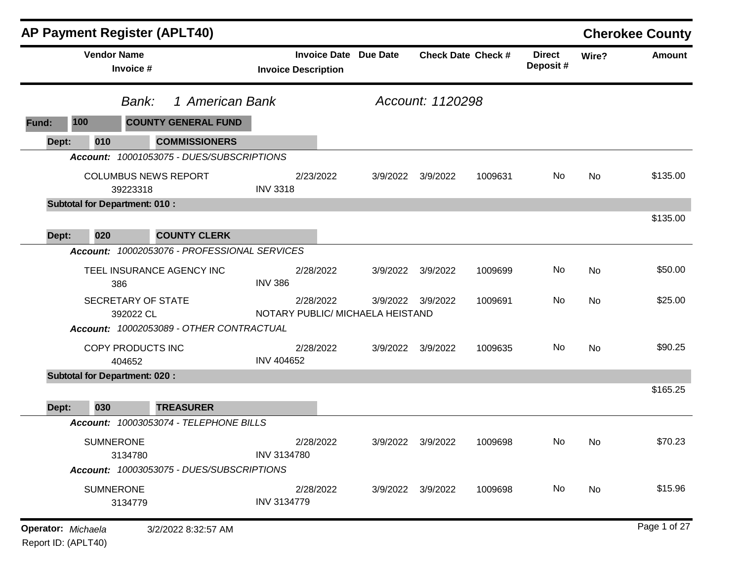|                    |                                      | <b>AP Payment Register (APLT40)</b>          |                    |                                                            |          |                   |                           |                            |       | <b>Cherokee County</b> |
|--------------------|--------------------------------------|----------------------------------------------|--------------------|------------------------------------------------------------|----------|-------------------|---------------------------|----------------------------|-------|------------------------|
|                    | <b>Vendor Name</b><br>Invoice #      |                                              |                    | <b>Invoice Date Due Date</b><br><b>Invoice Description</b> |          |                   | <b>Check Date Check #</b> | <b>Direct</b><br>Deposit # | Wire? | <b>Amount</b>          |
|                    | Bank:                                | 1 American Bank                              |                    |                                                            |          | Account: 1120298  |                           |                            |       |                        |
| Fund:              | 100                                  | <b>COUNTY GENERAL FUND</b>                   |                    |                                                            |          |                   |                           |                            |       |                        |
| Dept:              | 010                                  | <b>COMMISSIONERS</b>                         |                    |                                                            |          |                   |                           |                            |       |                        |
|                    |                                      | Account: 10001053075 - DUES/SUBSCRIPTIONS    |                    |                                                            |          |                   |                           |                            |       |                        |
|                    | 39223318                             | <b>COLUMBUS NEWS REPORT</b>                  | <b>INV 3318</b>    | 2/23/2022                                                  |          | 3/9/2022 3/9/2022 | 1009631                   | No                         | No    | \$135.00               |
|                    | <b>Subtotal for Department: 010:</b> |                                              |                    |                                                            |          |                   |                           |                            |       |                        |
|                    |                                      |                                              |                    |                                                            |          |                   |                           |                            |       | \$135.00               |
| Dept:              | 020                                  | <b>COUNTY CLERK</b>                          |                    |                                                            |          |                   |                           |                            |       |                        |
|                    |                                      | Account: 10002053076 - PROFESSIONAL SERVICES |                    |                                                            |          |                   |                           |                            |       |                        |
|                    | 386                                  | TEEL INSURANCE AGENCY INC                    | <b>INV 386</b>     | 2/28/2022                                                  |          | 3/9/2022 3/9/2022 | 1009699                   | No                         | No    | \$50.00                |
|                    | SECRETARY OF STATE<br>392022 CL      |                                              |                    | 2/28/2022<br>NOTARY PUBLIC/ MICHAELA HEISTAND              |          | 3/9/2022 3/9/2022 | 1009691                   | No                         | No    | \$25.00                |
|                    |                                      | Account: 10002053089 - OTHER CONTRACTUAL     |                    |                                                            |          |                   |                           |                            |       |                        |
|                    | COPY PRODUCTS INC<br>404652          |                                              | <b>INV 404652</b>  | 2/28/2022                                                  |          | 3/9/2022 3/9/2022 | 1009635                   | No                         | No    | \$90.25                |
|                    | <b>Subtotal for Department: 020:</b> |                                              |                    |                                                            |          |                   |                           |                            |       |                        |
|                    |                                      |                                              |                    |                                                            |          |                   |                           |                            |       | \$165.25               |
| Dept:              | 030                                  | <b>TREASURER</b>                             |                    |                                                            |          |                   |                           |                            |       |                        |
|                    |                                      | Account: 10003053074 - TELEPHONE BILLS       |                    |                                                            |          |                   |                           |                            |       |                        |
|                    | <b>SUMNERONE</b><br>3134780          |                                              | INV 3134780        | 2/28/2022                                                  | 3/9/2022 | 3/9/2022          | 1009698                   | No                         | No    | \$70.23                |
|                    |                                      | Account: 10003053075 - DUES/SUBSCRIPTIONS    |                    |                                                            |          |                   |                           |                            |       |                        |
|                    | <b>SUMNERONE</b><br>3134779          |                                              | <b>INV 3134779</b> | 2/28/2022                                                  |          | 3/9/2022 3/9/2022 | 1009698                   | No                         | No    | \$15.96                |
| Operator: Michaela |                                      | 3/2/2022 8:32:57 AM                          |                    |                                                            |          |                   |                           |                            |       | Page 1 of 27           |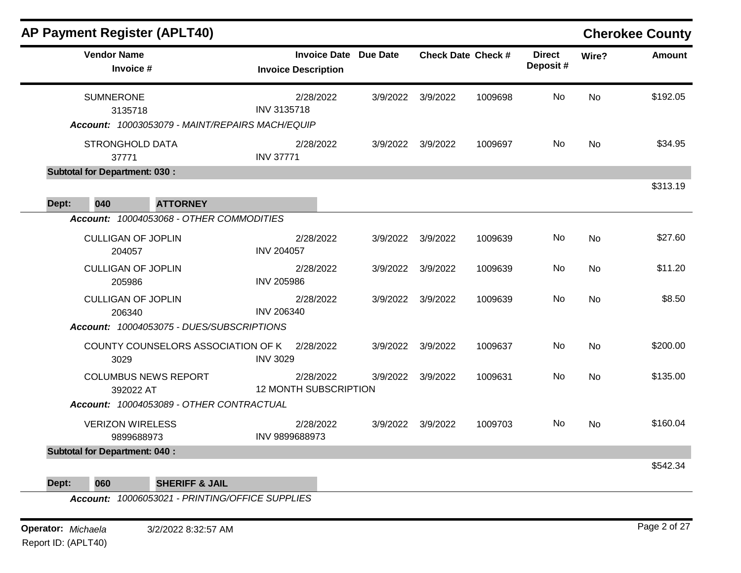|       |                                       | <b>AP Payment Register (APLT40)</b>             |                                           |  |                              |                   |                           |                           |           | <b>Cherokee County</b> |
|-------|---------------------------------------|-------------------------------------------------|-------------------------------------------|--|------------------------------|-------------------|---------------------------|---------------------------|-----------|------------------------|
|       | <b>Vendor Name</b><br>Invoice #       |                                                 | <b>Invoice Description</b>                |  | <b>Invoice Date Due Date</b> |                   | <b>Check Date Check #</b> | <b>Direct</b><br>Deposit# | Wire?     | <b>Amount</b>          |
|       | <b>SUMNERONE</b><br>3135718           | Account: 10003053079 - MAINT/REPAIRS MACH/EQUIP | 2/28/2022<br><b>INV 3135718</b>           |  | 3/9/2022                     | 3/9/2022          | 1009698                   | No                        | <b>No</b> | \$192.05               |
|       | <b>STRONGHOLD DATA</b><br>37771       |                                                 | 2/28/2022<br><b>INV 37771</b>             |  |                              | 3/9/2022 3/9/2022 | 1009697                   | No                        | <b>No</b> | \$34.95                |
|       | <b>Subtotal for Department: 030:</b>  |                                                 |                                           |  |                              |                   |                           |                           |           |                        |
| Dept: | 040                                   | <b>ATTORNEY</b>                                 |                                           |  |                              |                   |                           |                           |           | \$313.19               |
|       |                                       | Account: 10004053068 - OTHER COMMODITIES        |                                           |  |                              |                   |                           |                           |           |                        |
|       | <b>CULLIGAN OF JOPLIN</b><br>204057   |                                                 | 2/28/2022<br><b>INV 204057</b>            |  | 3/9/2022                     | 3/9/2022          | 1009639                   | No                        | <b>No</b> | \$27.60                |
|       | <b>CULLIGAN OF JOPLIN</b><br>205986   |                                                 | 2/28/2022<br><b>INV 205986</b>            |  |                              | 3/9/2022 3/9/2022 | 1009639                   | No.                       | No        | \$11.20                |
|       | <b>CULLIGAN OF JOPLIN</b><br>206340   |                                                 | 2/28/2022<br><b>INV 206340</b>            |  |                              | 3/9/2022 3/9/2022 | 1009639                   | No                        | <b>No</b> | \$8.50                 |
|       |                                       | Account: 10004053075 - DUES/SUBSCRIPTIONS       |                                           |  |                              |                   |                           |                           |           |                        |
|       | 3029                                  | COUNTY COUNSELORS ASSOCIATION OF K              | 2/28/2022<br><b>INV 3029</b>              |  |                              | 3/9/2022 3/9/2022 | 1009637                   | No.                       | No        | \$200.00               |
|       | 392022 AT                             | <b>COLUMBUS NEWS REPORT</b>                     | 2/28/2022<br><b>12 MONTH SUBSCRIPTION</b> |  | 3/9/2022                     | 3/9/2022          | 1009631                   | No.                       | No        | \$135.00               |
|       |                                       | Account: 10004053089 - OTHER CONTRACTUAL        |                                           |  |                              |                   |                           |                           |           |                        |
|       | <b>VERIZON WIRELESS</b><br>9899688973 |                                                 | 2/28/2022<br>INV 9899688973               |  |                              | 3/9/2022 3/9/2022 | 1009703                   | No.                       | No        | \$160.04               |
|       | <b>Subtotal for Department: 040:</b>  |                                                 |                                           |  |                              |                   |                           |                           |           | \$542.34               |
| Dept: | 060                                   | <b>SHERIFF &amp; JAIL</b>                       |                                           |  |                              |                   |                           |                           |           |                        |

**Operator:** *Michaela* 3/2/2022 8:32:57 AM Report ID: (APLT40)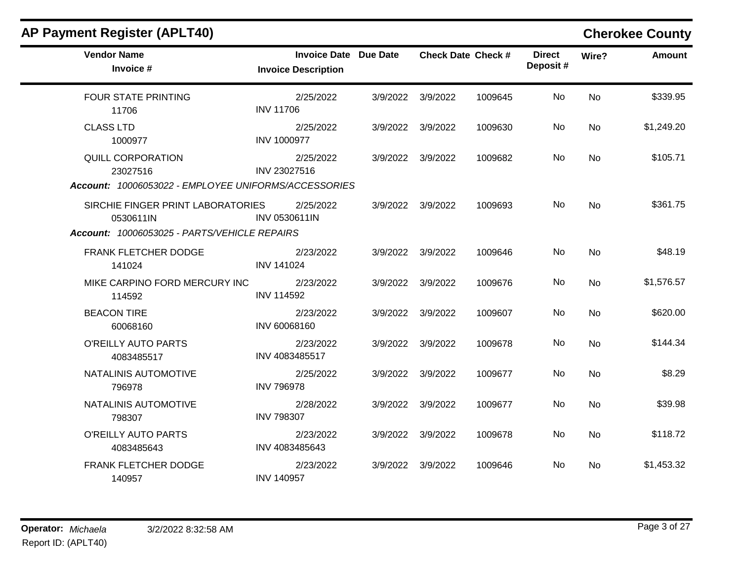| <b>AP Payment Register (APLT40)</b>                                                            |                                                            |          |                   |                    |                            |           | <b>Cherokee County</b> |
|------------------------------------------------------------------------------------------------|------------------------------------------------------------|----------|-------------------|--------------------|----------------------------|-----------|------------------------|
| <b>Vendor Name</b><br>Invoice #                                                                | <b>Invoice Date Due Date</b><br><b>Invoice Description</b> |          |                   | Check Date Check # | <b>Direct</b><br>Deposit # | Wire?     | <b>Amount</b>          |
| <b>FOUR STATE PRINTING</b><br>11706                                                            | 2/25/2022<br><b>INV 11706</b>                              |          | 3/9/2022 3/9/2022 | 1009645            | No.                        | <b>No</b> | \$339.95               |
| <b>CLASS LTD</b><br>1000977                                                                    | 2/25/2022<br><b>INV 1000977</b>                            |          | 3/9/2022 3/9/2022 | 1009630            | No                         | <b>No</b> | \$1,249.20             |
| <b>QUILL CORPORATION</b><br>23027516<br>Account: 10006053022 - EMPLOYEE UNIFORMS/ACCESSORIES   | 2/25/2022<br>INV 23027516                                  |          | 3/9/2022 3/9/2022 | 1009682            | No.                        | <b>No</b> | \$105.71               |
| SIRCHIE FINGER PRINT LABORATORIES<br>0530611IN<br>Account: 10006053025 - PARTS/VEHICLE REPAIRS | 2/25/2022<br>INV 0530611IN                                 |          | 3/9/2022 3/9/2022 | 1009693            | No.                        | <b>No</b> | \$361.75               |
| <b>FRANK FLETCHER DODGE</b><br>141024                                                          | 2/23/2022<br><b>INV 141024</b>                             | 3/9/2022 | 3/9/2022          | 1009646            | No                         | <b>No</b> | \$48.19                |
| MIKE CARPINO FORD MERCURY INC<br>114592                                                        | 2/23/2022<br><b>INV 114592</b>                             |          | 3/9/2022 3/9/2022 | 1009676            | No                         | No        | \$1,576.57             |
| <b>BEACON TIRE</b><br>60068160                                                                 | 2/23/2022<br>INV 60068160                                  |          | 3/9/2022 3/9/2022 | 1009607            | No                         | <b>No</b> | \$620.00               |
| O'REILLY AUTO PARTS<br>4083485517                                                              | 2/23/2022<br>INV 4083485517                                |          | 3/9/2022 3/9/2022 | 1009678            | No.                        | <b>No</b> | \$144.34               |
| NATALINIS AUTOMOTIVE<br>796978                                                                 | 2/25/2022<br><b>INV 796978</b>                             | 3/9/2022 | 3/9/2022          | 1009677            | No                         | No        | \$8.29                 |
| NATALINIS AUTOMOTIVE<br>798307                                                                 | 2/28/2022<br><b>INV 798307</b>                             |          | 3/9/2022 3/9/2022 | 1009677            | No.                        | <b>No</b> | \$39.98                |
| O'REILLY AUTO PARTS<br>4083485643                                                              | 2/23/2022<br>INV 4083485643                                |          | 3/9/2022 3/9/2022 | 1009678            | No                         | <b>No</b> | \$118.72               |
| FRANK FLETCHER DODGE<br>140957                                                                 | 2/23/2022<br><b>INV 140957</b>                             |          | 3/9/2022 3/9/2022 | 1009646            | No.                        | <b>No</b> | \$1,453.32             |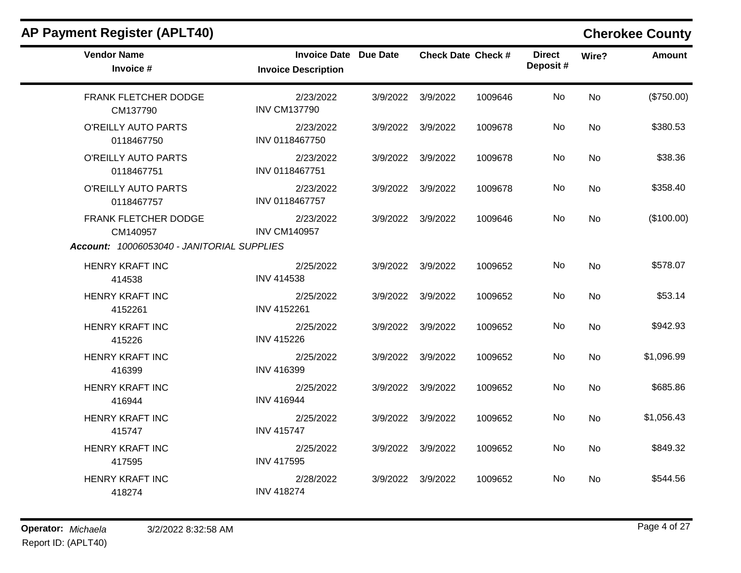| <b>Vendor Name</b><br>Invoice #                                                | <b>Invoice Date Due Date</b><br><b>Invoice Description</b> | <b>Check Date Check #</b> |         | <b>Direct</b><br>Deposit# | Wire?     | <b>Amount</b> |
|--------------------------------------------------------------------------------|------------------------------------------------------------|---------------------------|---------|---------------------------|-----------|---------------|
| FRANK FLETCHER DODGE<br>CM137790                                               | 2/23/2022<br><b>INV CM137790</b>                           | 3/9/2022 3/9/2022         | 1009646 | No                        | <b>No</b> | (\$750.00)    |
| O'REILLY AUTO PARTS<br>0118467750                                              | 2/23/2022<br>INV 0118467750                                | 3/9/2022 3/9/2022         | 1009678 | No                        | <b>No</b> | \$380.53      |
| O'REILLY AUTO PARTS<br>0118467751                                              | 2/23/2022<br>INV 0118467751                                | 3/9/2022 3/9/2022         | 1009678 | No                        | <b>No</b> | \$38.36       |
| O'REILLY AUTO PARTS<br>0118467757                                              | 2/23/2022<br>INV 0118467757                                | 3/9/2022 3/9/2022         | 1009678 | No                        | <b>No</b> | \$358.40      |
| FRANK FLETCHER DODGE<br>CM140957<br>Account: 10006053040 - JANITORIAL SUPPLIES | 2/23/2022<br><b>INV CM140957</b>                           | 3/9/2022 3/9/2022         | 1009646 | No                        | <b>No</b> | (\$100.00)    |
| HENRY KRAFT INC<br>414538                                                      | 2/25/2022<br><b>INV 414538</b>                             | 3/9/2022 3/9/2022         | 1009652 | No                        | <b>No</b> | \$578.07      |
| HENRY KRAFT INC<br>4152261                                                     | 2/25/2022<br>INV 4152261                                   | 3/9/2022 3/9/2022         | 1009652 | No.                       | No        | \$53.14       |
| <b>HENRY KRAFT INC</b><br>415226                                               | 2/25/2022<br><b>INV 415226</b>                             | 3/9/2022 3/9/2022         | 1009652 | <b>No</b>                 | <b>No</b> | \$942.93      |
| <b>HENRY KRAFT INC</b><br>416399                                               | 2/25/2022<br>INV 416399                                    | 3/9/2022 3/9/2022         | 1009652 | No                        | <b>No</b> | \$1,096.99    |
| <b>HENRY KRAFT INC</b><br>416944                                               | 2/25/2022<br><b>INV 416944</b>                             | 3/9/2022 3/9/2022         | 1009652 | No                        | No        | \$685.86      |
| <b>HENRY KRAFT INC</b><br>415747                                               | 2/25/2022<br><b>INV 415747</b>                             | 3/9/2022 3/9/2022         | 1009652 | No                        | <b>No</b> | \$1,056.43    |
| <b>HENRY KRAFT INC</b><br>417595                                               | 2/25/2022<br><b>INV 417595</b>                             | 3/9/2022 3/9/2022         | 1009652 | No                        | <b>No</b> | \$849.32      |
| <b>HENRY KRAFT INC</b><br>418274                                               | 2/28/2022<br><b>INV 418274</b>                             | 3/9/2022 3/9/2022         | 1009652 | No                        | No        | \$544.56      |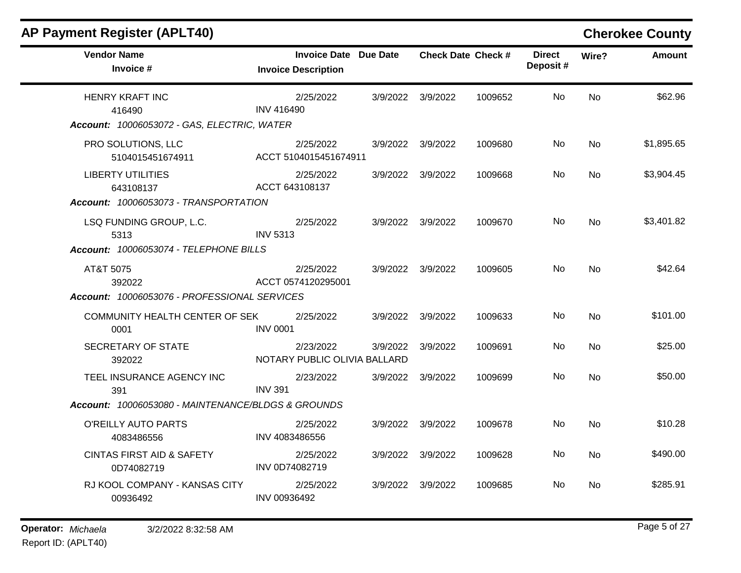| <b>AP Payment Register (APLT40)</b>                                                    |                                                            |          |                   |                           |                           |           | <b>Cherokee County</b> |
|----------------------------------------------------------------------------------------|------------------------------------------------------------|----------|-------------------|---------------------------|---------------------------|-----------|------------------------|
| <b>Vendor Name</b><br>Invoice #                                                        | <b>Invoice Date Due Date</b><br><b>Invoice Description</b> |          |                   | <b>Check Date Check #</b> | <b>Direct</b><br>Deposit# | Wire?     | Amount                 |
| <b>HENRY KRAFT INC</b><br>416490<br>Account: 10006053072 - GAS, ELECTRIC, WATER        | 2/25/2022<br><b>INV 416490</b>                             |          | 3/9/2022 3/9/2022 | 1009652                   | No                        | <b>No</b> | \$62.96                |
| PRO SOLUTIONS, LLC<br>5104015451674911                                                 | 2/25/2022<br>ACCT 5104015451674911                         |          | 3/9/2022 3/9/2022 | 1009680                   | No                        | <b>No</b> | \$1,895.65             |
| <b>LIBERTY UTILITIES</b><br>643108137<br>Account: 10006053073 - TRANSPORTATION         | 2/25/2022<br>ACCT 643108137                                |          | 3/9/2022 3/9/2022 | 1009668                   | No                        | No.       | \$3,904.45             |
| LSQ FUNDING GROUP, L.C.<br>5313<br>Account: 10006053074 - TELEPHONE BILLS              | 2/25/2022<br><b>INV 5313</b>                               |          | 3/9/2022 3/9/2022 | 1009670                   | No.                       | No        | \$3,401.82             |
| AT&T 5075<br>392022<br>Account: 10006053076 - PROFESSIONAL SERVICES                    | 2/25/2022<br>ACCT 0574120295001                            |          | 3/9/2022 3/9/2022 | 1009605                   | No                        | No.       | \$42.64                |
| COMMUNITY HEALTH CENTER OF SEK<br>0001                                                 | 2/25/2022<br><b>INV 0001</b>                               |          | 3/9/2022 3/9/2022 | 1009633                   | No                        | <b>No</b> | \$101.00               |
| <b>SECRETARY OF STATE</b><br>392022                                                    | 2/23/2022<br>NOTARY PUBLIC OLIVIA BALLARD                  | 3/9/2022 | 3/9/2022          | 1009691                   | No.                       | No        | \$25.00                |
| TEEL INSURANCE AGENCY INC<br>391<br>Account: 10006053080 - MAINTENANCE/BLDGS & GROUNDS | 2/23/2022<br><b>INV 391</b>                                | 3/9/2022 | 3/9/2022          | 1009699                   | No.                       | <b>No</b> | \$50.00                |
| O'REILLY AUTO PARTS<br>4083486556                                                      | 2/25/2022<br>INV 4083486556                                |          | 3/9/2022 3/9/2022 | 1009678                   | No.                       | No        | \$10.28                |
| <b>CINTAS FIRST AID &amp; SAFETY</b><br>0D74082719                                     | 2/25/2022<br>INV 0D74082719                                |          | 3/9/2022 3/9/2022 | 1009628                   | No.                       | No        | \$490.00               |
| RJ KOOL COMPANY - KANSAS CITY<br>00936492                                              | 2/25/2022<br>INV 00936492                                  |          | 3/9/2022 3/9/2022 | 1009685                   | No.                       | No        | \$285.91               |
|                                                                                        |                                                            |          |                   |                           |                           |           |                        |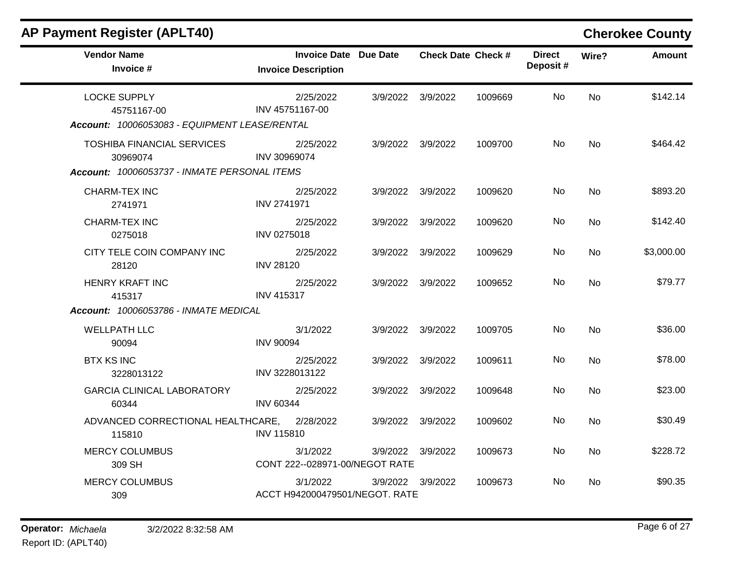| <b>AP Payment Register (APLT40)</b>                                                           |                                                            |                   |                           |                           |           | <b>Cherokee County</b> |
|-----------------------------------------------------------------------------------------------|------------------------------------------------------------|-------------------|---------------------------|---------------------------|-----------|------------------------|
| <b>Vendor Name</b><br>Invoice #                                                               | <b>Invoice Date Due Date</b><br><b>Invoice Description</b> |                   | <b>Check Date Check #</b> | <b>Direct</b><br>Deposit# | Wire?     | <b>Amount</b>          |
| <b>LOCKE SUPPLY</b><br>45751167-00<br>Account: 10006053083 - EQUIPMENT LEASE/RENTAL           | 2/25/2022<br>INV 45751167-00                               | 3/9/2022 3/9/2022 | 1009669                   | No.                       | <b>No</b> | \$142.14               |
| <b>TOSHIBA FINANCIAL SERVICES</b><br>30969074<br>Account: 10006053737 - INMATE PERSONAL ITEMS | 2/25/2022<br>INV 30969074                                  | 3/9/2022 3/9/2022 | 1009700                   | No                        | <b>No</b> | \$464.42               |
| CHARM-TEX INC<br>2741971                                                                      | 2/25/2022<br><b>INV 2741971</b>                            | 3/9/2022 3/9/2022 | 1009620                   | No                        | No        | \$893.20               |
| <b>CHARM-TEX INC</b><br>0275018                                                               | 2/25/2022<br><b>INV 0275018</b>                            | 3/9/2022 3/9/2022 | 1009620                   | No                        | No        | \$142.40               |
| CITY TELE COIN COMPANY INC<br>28120                                                           | 2/25/2022<br><b>INV 28120</b>                              | 3/9/2022 3/9/2022 | 1009629                   | No.                       | No        | \$3,000.00             |
| <b>HENRY KRAFT INC</b><br>415317<br><b>Account: 10006053786 - INMATE MEDICAL</b>              | 2/25/2022<br><b>INV 415317</b>                             | 3/9/2022 3/9/2022 | 1009652                   | No                        | <b>No</b> | \$79.77                |
| <b>WELLPATH LLC</b><br>90094                                                                  | 3/1/2022<br><b>INV 90094</b>                               | 3/9/2022 3/9/2022 | 1009705                   | No                        | No        | \$36.00                |
| <b>BTX KS INC</b><br>3228013122                                                               | 2/25/2022<br>INV 3228013122                                | 3/9/2022 3/9/2022 | 1009611                   | No.                       | <b>No</b> | \$78.00                |
| <b>GARCIA CLINICAL LABORATORY</b><br>60344                                                    | 2/25/2022<br><b>INV 60344</b>                              | 3/9/2022 3/9/2022 | 1009648                   | No                        | <b>No</b> | \$23.00                |
| ADVANCED CORRECTIONAL HEALTHCARE,<br>115810                                                   | 2/28/2022<br><b>INV 115810</b>                             | 3/9/2022 3/9/2022 | 1009602                   | No.                       | <b>No</b> | \$30.49                |
| <b>MERCY COLUMBUS</b><br>309 SH                                                               | 3/1/2022<br>CONT 222--028971-00/NEGOT RATE                 | 3/9/2022 3/9/2022 | 1009673                   | No                        | No        | \$228.72               |
| <b>MERCY COLUMBUS</b><br>309                                                                  | 3/1/2022<br>ACCT H942000479501/NEGOT. RATE                 | 3/9/2022 3/9/2022 | 1009673                   | No.                       | No        | \$90.35                |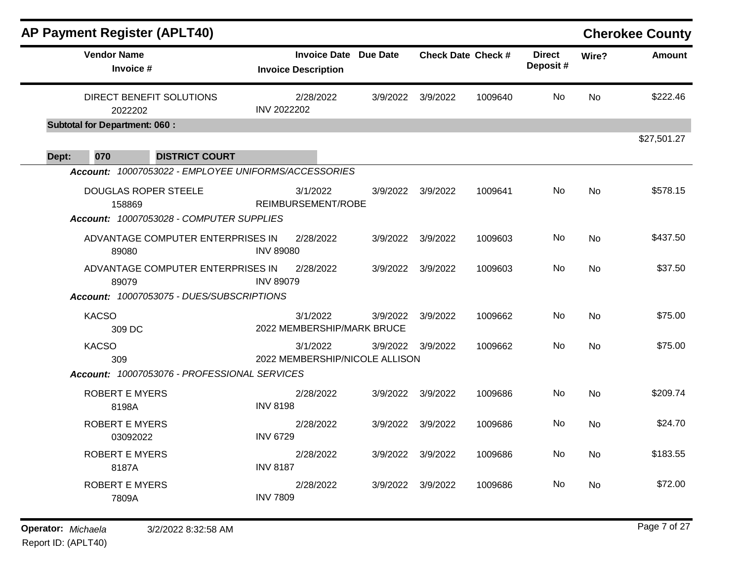|       |                     | <b>AP Payment Register (APLT40)</b>                  |                                                            |          |                   |                           |                            |           | <b>Cherokee County</b> |
|-------|---------------------|------------------------------------------------------|------------------------------------------------------------|----------|-------------------|---------------------------|----------------------------|-----------|------------------------|
|       | <b>Vendor Name</b>  | Invoice #                                            | <b>Invoice Date Due Date</b><br><b>Invoice Description</b> |          |                   | <b>Check Date Check #</b> | <b>Direct</b><br>Deposit # | Wire?     | <b>Amount</b>          |
|       |                     | DIRECT BENEFIT SOLUTIONS<br>2022202                  | 2/28/2022<br><b>INV 2022202</b>                            | 3/9/2022 | 3/9/2022          | 1009640                   | No.                        | No        | \$222.46               |
|       |                     | <b>Subtotal for Department: 060:</b>                 |                                                            |          |                   |                           |                            |           | \$27,501.27            |
| Dept: | 070                 | <b>DISTRICT COURT</b>                                |                                                            |          |                   |                           |                            |           |                        |
|       |                     | Account: 10007053022 - EMPLOYEE UNIFORMS/ACCESSORIES |                                                            |          |                   |                           |                            |           |                        |
|       |                     | <b>DOUGLAS ROPER STEELE</b><br>158869                | 3/1/2022<br>REIMBURSEMENT/ROBE                             | 3/9/2022 | 3/9/2022          | 1009641                   | No                         | <b>No</b> | \$578.15               |
|       |                     | Account: 10007053028 - COMPUTER SUPPLIES             |                                                            |          |                   |                           |                            |           |                        |
|       |                     | ADVANTAGE COMPUTER ENTERPRISES IN<br>89080           | 2/28/2022<br><b>INV 89080</b>                              | 3/9/2022 | 3/9/2022          | 1009603                   | No                         | <b>No</b> | \$437.50               |
|       |                     | ADVANTAGE COMPUTER ENTERPRISES IN<br>89079           | 2/28/2022<br><b>INV 89079</b>                              | 3/9/2022 | 3/9/2022          | 1009603                   | No                         | No        | \$37.50                |
|       |                     | Account: 10007053075 - DUES/SUBSCRIPTIONS            |                                                            |          |                   |                           |                            |           |                        |
|       | <b>KACSO</b>        | 309 DC                                               | 3/1/2022<br>2022 MEMBERSHIP/MARK BRUCE                     | 3/9/2022 | 3/9/2022          | 1009662                   | No.                        | No        | \$75.00                |
|       | <b>KACSO</b><br>309 |                                                      | 3/1/2022<br>2022 MEMBERSHIP/NICOLE ALLISON                 |          | 3/9/2022 3/9/2022 | 1009662                   | No                         | No        | \$75.00                |
|       |                     | Account: 10007053076 - PROFESSIONAL SERVICES         |                                                            |          |                   |                           |                            |           |                        |
|       |                     | <b>ROBERT E MYERS</b><br>8198A                       | 2/28/2022<br><b>INV 8198</b>                               |          | 3/9/2022 3/9/2022 | 1009686                   | No.                        | No        | \$209.74               |
|       |                     | <b>ROBERT E MYERS</b><br>03092022                    | 2/28/2022<br><b>INV 6729</b>                               | 3/9/2022 | 3/9/2022          | 1009686                   | No                         | <b>No</b> | \$24.70                |
|       |                     | <b>ROBERT E MYERS</b><br>8187A                       | 2/28/2022<br><b>INV 8187</b>                               | 3/9/2022 | 3/9/2022          | 1009686                   | No.                        | No.       | \$183.55               |
|       |                     | <b>ROBERT E MYERS</b><br>7809A                       | 2/28/2022<br><b>INV 7809</b>                               | 3/9/2022 | 3/9/2022          | 1009686                   | No.                        | No        | \$72.00                |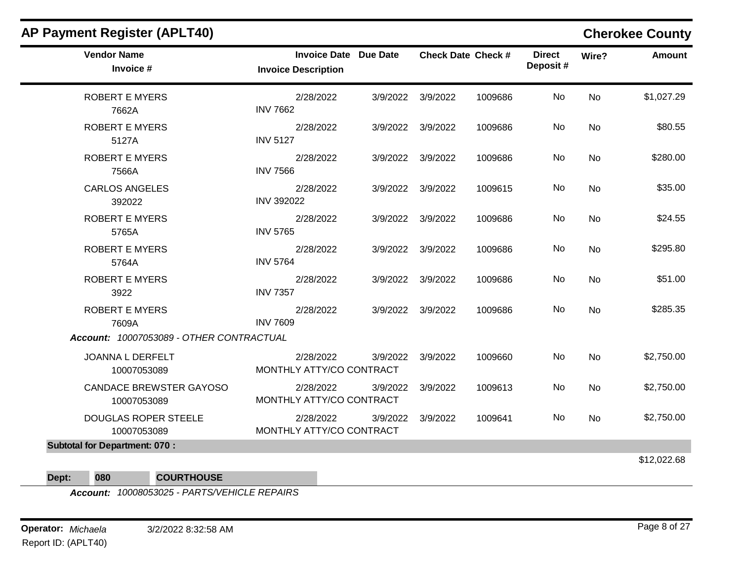| <b>Vendor Name</b><br>Invoice #               | <b>Invoice Date Due Date</b><br><b>Invoice Description</b> |                   | <b>Check Date Check #</b> | <b>Direct</b><br>Deposit# | Wire?     | Amount      |
|-----------------------------------------------|------------------------------------------------------------|-------------------|---------------------------|---------------------------|-----------|-------------|
| <b>ROBERT E MYERS</b><br>7662A                | 2/28/2022<br><b>INV 7662</b>                               | 3/9/2022 3/9/2022 | 1009686                   | No                        | <b>No</b> | \$1,027.29  |
| <b>ROBERT E MYERS</b><br>5127A                | 2/28/2022<br><b>INV 5127</b>                               | 3/9/2022 3/9/2022 | 1009686                   | No                        | <b>No</b> | \$80.55     |
| <b>ROBERT E MYERS</b><br>7566A                | 2/28/2022<br><b>INV 7566</b>                               | 3/9/2022 3/9/2022 | 1009686                   | No                        | No        | \$280.00    |
| <b>CARLOS ANGELES</b><br>392022               | 2/28/2022<br><b>INV 392022</b>                             | 3/9/2022 3/9/2022 | 1009615                   | No                        | No        | \$35.00     |
| <b>ROBERT E MYERS</b><br>5765A                | 2/28/2022<br><b>INV 5765</b>                               | 3/9/2022 3/9/2022 | 1009686                   | No                        | <b>No</b> | \$24.55     |
| <b>ROBERT E MYERS</b><br>5764A                | 2/28/2022<br><b>INV 5764</b>                               | 3/9/2022 3/9/2022 | 1009686                   | No                        | No        | \$295.80    |
| <b>ROBERT E MYERS</b><br>3922                 | 2/28/2022<br><b>INV 7357</b>                               | 3/9/2022 3/9/2022 | 1009686                   | No                        | No        | \$51.00     |
| <b>ROBERT E MYERS</b><br>7609A                | 2/28/2022<br><b>INV 7609</b>                               | 3/9/2022 3/9/2022 | 1009686                   | No                        | <b>No</b> | \$285.35    |
| Account: 10007053089 - OTHER CONTRACTUAL      |                                                            |                   |                           |                           |           |             |
| JOANNA L DERFELT<br>10007053089               | 2/28/2022<br>MONTHLY ATTY/CO CONTRACT                      | 3/9/2022 3/9/2022 | 1009660                   | No                        | No        | \$2,750.00  |
| <b>CANDACE BREWSTER GAYOSO</b><br>10007053089 | 2/28/2022<br>MONTHLY ATTY/CO CONTRACT                      | 3/9/2022 3/9/2022 | 1009613                   | No                        | <b>No</b> | \$2,750.00  |
| <b>DOUGLAS ROPER STEELE</b><br>10007053089    | 2/28/2022<br>MONTHLY ATTY/CO CONTRACT                      | 3/9/2022 3/9/2022 | 1009641                   | No                        | <b>No</b> | \$2,750.00  |
| <b>Subtotal for Department: 070:</b>          |                                                            |                   |                           |                           |           |             |
|                                               |                                                            |                   |                           |                           |           | \$12,022.68 |

**Dept: 080 COURTHOUSE**

*Account: 10008053025 - PARTS/VEHICLE REPAIRS*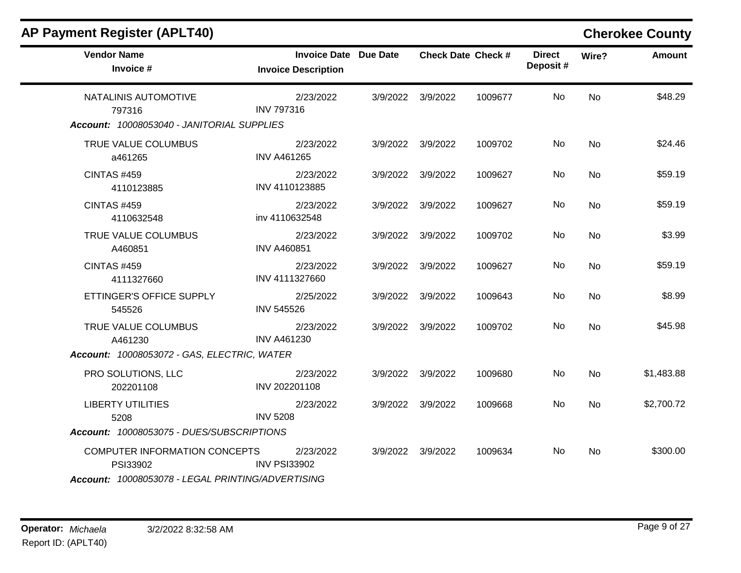| <b>Vendor Name</b><br>Invoice #                   | <b>Invoice Date Due Date</b><br><b>Invoice Description</b> | <b>Check Date Check #</b> |         | <b>Direct</b><br>Deposit# | Wire?     | <b>Amount</b> |
|---------------------------------------------------|------------------------------------------------------------|---------------------------|---------|---------------------------|-----------|---------------|
| NATALINIS AUTOMOTIVE<br>797316                    | 2/23/2022<br><b>INV 797316</b>                             | 3/9/2022 3/9/2022         | 1009677 | No                        | <b>No</b> | \$48.29       |
| Account: 10008053040 - JANITORIAL SUPPLIES        |                                                            |                           |         |                           |           |               |
| TRUE VALUE COLUMBUS<br>a461265                    | 2/23/2022<br><b>INV A461265</b>                            | 3/9/2022 3/9/2022         | 1009702 | No                        | <b>No</b> | \$24.46       |
| <b>CINTAS #459</b><br>4110123885                  | 2/23/2022<br>INV 4110123885                                | 3/9/2022 3/9/2022         | 1009627 | No                        | No        | \$59.19       |
| <b>CINTAS #459</b><br>4110632548                  | 2/23/2022<br>inv 4110632548                                | 3/9/2022 3/9/2022         | 1009627 | No                        | <b>No</b> | \$59.19       |
| TRUE VALUE COLUMBUS<br>A460851                    | 2/23/2022<br><b>INV A460851</b>                            | 3/9/2022 3/9/2022         | 1009702 | No                        | No        | \$3.99        |
| <b>CINTAS #459</b><br>4111327660                  | 2/23/2022<br>INV 4111327660                                | 3/9/2022 3/9/2022         | 1009627 | No                        | No        | \$59.19       |
| ETTINGER'S OFFICE SUPPLY<br>545526                | 2/25/2022<br><b>INV 545526</b>                             | 3/9/2022 3/9/2022         | 1009643 | No                        | <b>No</b> | \$8.99        |
| TRUE VALUE COLUMBUS<br>A461230                    | 2/23/2022<br><b>INV A461230</b>                            | 3/9/2022 3/9/2022         | 1009702 | No                        | <b>No</b> | \$45.98       |
| Account: 10008053072 - GAS, ELECTRIC, WATER       |                                                            |                           |         |                           |           |               |
| PRO SOLUTIONS, LLC<br>202201108                   | 2/23/2022<br>INV 202201108                                 | 3/9/2022 3/9/2022         | 1009680 | No.                       | <b>No</b> | \$1,483.88    |
| <b>LIBERTY UTILITIES</b><br>5208                  | 2/23/2022<br><b>INV 5208</b>                               | 3/9/2022 3/9/2022         | 1009668 | No.                       | <b>No</b> | \$2,700.72    |
| Account: 10008053075 - DUES/SUBSCRIPTIONS         |                                                            |                           |         |                           |           |               |
| COMPUTER INFORMATION CONCEPTS<br>PSI33902         | 2/23/2022<br><b>INV PSI33902</b>                           | 3/9/2022 3/9/2022         | 1009634 | No.                       | No        | \$300.00      |
| Account: 10008053078 - LEGAL PRINTING/ADVERTISING |                                                            |                           |         |                           |           |               |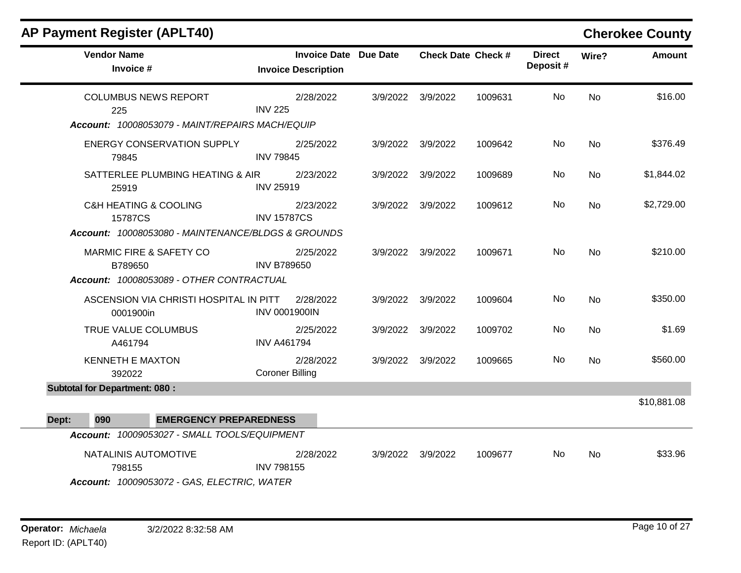| <b>AP Payment Register (APLT40)</b>                                                                   |                                                            |                   |                           |                           |                | <b>Cherokee County</b> |
|-------------------------------------------------------------------------------------------------------|------------------------------------------------------------|-------------------|---------------------------|---------------------------|----------------|------------------------|
| <b>Vendor Name</b><br>Invoice #                                                                       | <b>Invoice Date Due Date</b><br><b>Invoice Description</b> |                   | <b>Check Date Check #</b> | <b>Direct</b><br>Deposit# | Wire?          | <b>Amount</b>          |
| <b>COLUMBUS NEWS REPORT</b><br>225<br>Account: 10008053079 - MAINT/REPAIRS MACH/EQUIP                 | 2/28/2022<br><b>INV 225</b>                                | 3/9/2022 3/9/2022 | 1009631                   | No.                       | N <sub>0</sub> | \$16.00                |
| <b>ENERGY CONSERVATION SUPPLY</b><br>79845                                                            | 2/25/2022<br><b>INV 79845</b>                              | 3/9/2022 3/9/2022 | 1009642                   | No.                       | No             | \$376.49               |
| SATTERLEE PLUMBING HEATING & AIR<br>25919                                                             | 2/23/2022<br><b>INV 25919</b>                              | 3/9/2022 3/9/2022 | 1009689                   | No                        | No             | \$1,844.02             |
| <b>C&amp;H HEATING &amp; COOLING</b><br>15787CS<br>Account: 10008053080 - MAINTENANCE/BLDGS & GROUNDS | 2/23/2022<br><b>INV 15787CS</b>                            | 3/9/2022 3/9/2022 | 1009612                   | No                        | No             | \$2,729.00             |
| <b>MARMIC FIRE &amp; SAFETY CO</b><br>B789650<br>Account: 10008053089 - OTHER CONTRACTUAL             | 2/25/2022<br><b>INV B789650</b>                            | 3/9/2022 3/9/2022 | 1009671                   | No.                       | No             | \$210.00               |
| ASCENSION VIA CHRISTI HOSPITAL IN PITT<br>0001900in                                                   | 2/28/2022<br><b>INV 0001900IN</b>                          | 3/9/2022 3/9/2022 | 1009604                   | No.                       | <b>No</b>      | \$350.00               |
| TRUE VALUE COLUMBUS<br>A461794                                                                        | 2/25/2022<br><b>INV A461794</b>                            | 3/9/2022 3/9/2022 | 1009702                   | No.                       | <b>No</b>      | \$1.69                 |
| <b>KENNETH E MAXTON</b><br>392022                                                                     | 2/28/2022<br><b>Coroner Billing</b>                        | 3/9/2022 3/9/2022 | 1009665                   | No.                       | <b>No</b>      | \$560.00               |
| <b>Subtotal for Department: 080:</b>                                                                  |                                                            |                   |                           |                           |                | \$10,881.08            |
| 090<br><b>EMERGENCY PREPAREDNESS</b><br>Dept:                                                         |                                                            |                   |                           |                           |                |                        |
| Account: 10009053027 - SMALL TOOLS/EQUIPMENT                                                          |                                                            |                   |                           |                           |                |                        |
| NATALINIS AUTOMOTIVE<br>798155<br>Account: 10009053072 - GAS, ELECTRIC, WATER                         | 2/28/2022<br><b>INV 798155</b>                             | 3/9/2022 3/9/2022 | 1009677                   | No.                       | No             | \$33.96                |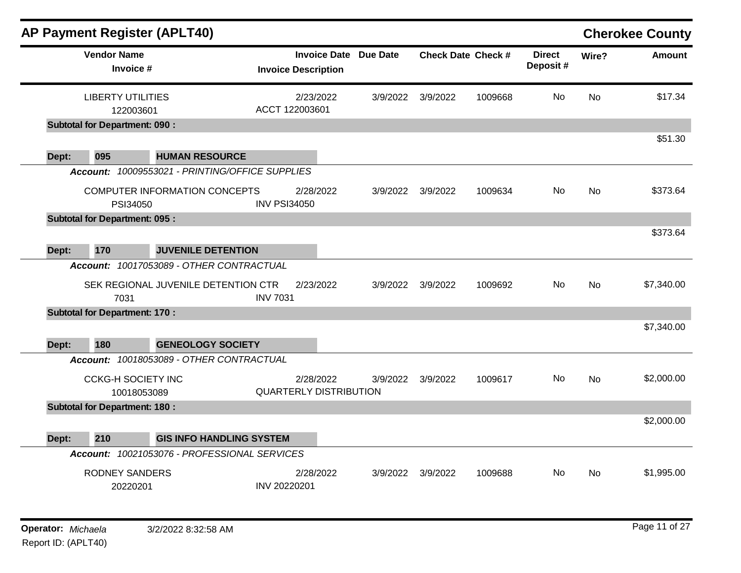|       |                                       | <b>AP Payment Register (APLT40)</b>             |                               |                              |          |                           |         |                           |           | <b>Cherokee County</b> |
|-------|---------------------------------------|-------------------------------------------------|-------------------------------|------------------------------|----------|---------------------------|---------|---------------------------|-----------|------------------------|
|       | <b>Vendor Name</b><br>Invoice #       |                                                 | <b>Invoice Description</b>    | <b>Invoice Date Due Date</b> |          | <b>Check Date Check #</b> |         | <b>Direct</b><br>Deposit# | Wire?     | <b>Amount</b>          |
|       | <b>LIBERTY UTILITIES</b><br>122003601 |                                                 | ACCT 122003601                | 2/23/2022                    | 3/9/2022 | 3/9/2022                  | 1009668 | <b>No</b>                 | <b>No</b> | \$17.34                |
|       | <b>Subtotal for Department: 090:</b>  |                                                 |                               |                              |          |                           |         |                           |           |                        |
|       |                                       |                                                 |                               |                              |          |                           |         |                           |           | \$51.30                |
| Dept: | 095                                   | <b>HUMAN RESOURCE</b>                           |                               |                              |          |                           |         |                           |           |                        |
|       |                                       | Account: 10009553021 - PRINTING/OFFICE SUPPLIES |                               |                              |          |                           |         |                           |           |                        |
|       | PSI34050                              | <b>COMPUTER INFORMATION CONCEPTS</b>            | <b>INV PSI34050</b>           | 2/28/2022                    | 3/9/2022 | 3/9/2022                  | 1009634 | No                        | No        | \$373.64               |
|       | <b>Subtotal for Department: 095:</b>  |                                                 |                               |                              |          |                           |         |                           |           |                        |
|       |                                       |                                                 |                               |                              |          |                           |         |                           |           | \$373.64               |
| Dept: | 170                                   | <b>JUVENILE DETENTION</b>                       |                               |                              |          |                           |         |                           |           |                        |
|       |                                       | Account: 10017053089 - OTHER CONTRACTUAL        |                               |                              |          |                           |         |                           |           |                        |
|       | 7031                                  | SEK REGIONAL JUVENILE DETENTION CTR             | <b>INV 7031</b>               | 2/23/2022                    | 3/9/2022 | 3/9/2022                  | 1009692 | No.                       | <b>No</b> | \$7,340.00             |
|       | <b>Subtotal for Department: 170:</b>  |                                                 |                               |                              |          |                           |         |                           |           |                        |
| Dept: | 180                                   | <b>GENEOLOGY SOCIETY</b>                        |                               |                              |          |                           |         |                           |           | \$7,340.00             |
|       |                                       | Account: 10018053089 - OTHER CONTRACTUAL        |                               |                              |          |                           |         |                           |           |                        |
|       | <b>CCKG-H SOCIETY INC</b>             | 10018053089                                     | <b>QUARTERLY DISTRIBUTION</b> | 2/28/2022                    | 3/9/2022 | 3/9/2022                  | 1009617 | <b>No</b>                 | <b>No</b> | \$2,000.00             |
|       | <b>Subtotal for Department: 180:</b>  |                                                 |                               |                              |          |                           |         |                           |           |                        |
|       |                                       |                                                 |                               |                              |          |                           |         |                           |           | \$2,000.00             |
| Dept: | 210                                   | <b>GIS INFO HANDLING SYSTEM</b>                 |                               |                              |          |                           |         |                           |           |                        |
|       |                                       | Account: 10021053076 - PROFESSIONAL SERVICES    |                               |                              |          |                           |         |                           |           |                        |
|       | <b>RODNEY SANDERS</b><br>20220201     |                                                 | INV 20220201                  | 2/28/2022                    | 3/9/2022 | 3/9/2022                  | 1009688 | No.                       | No        | \$1,995.00             |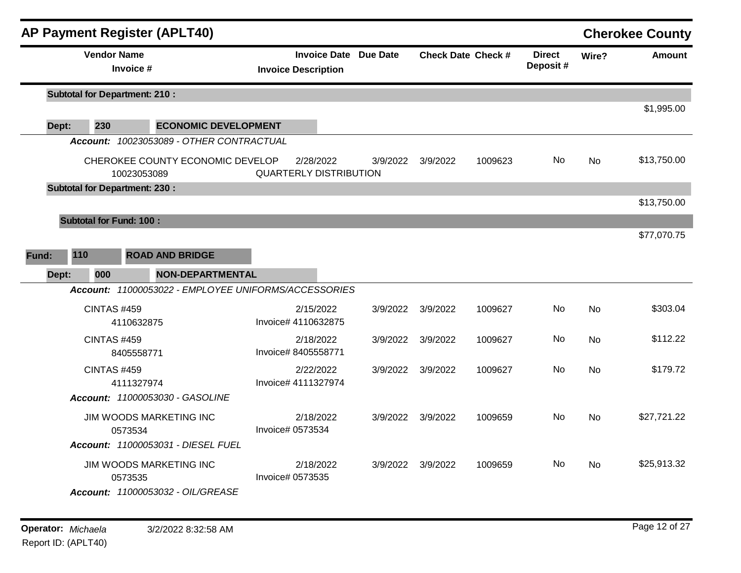| <b>AP Payment Register (APLT40)</b>                                     |                                                            |          |          |                           |                           |           | <b>Cherokee County</b> |
|-------------------------------------------------------------------------|------------------------------------------------------------|----------|----------|---------------------------|---------------------------|-----------|------------------------|
| <b>Vendor Name</b><br>Invoice #                                         | <b>Invoice Date Due Date</b><br><b>Invoice Description</b> |          |          | <b>Check Date Check #</b> | <b>Direct</b><br>Deposit# | Wire?     | <b>Amount</b>          |
| <b>Subtotal for Department: 210:</b>                                    |                                                            |          |          |                           |                           |           |                        |
| 230<br><b>ECONOMIC DEVELOPMENT</b><br>Dept:                             |                                                            |          |          |                           |                           |           | \$1,995.00             |
| Account: 10023053089 - OTHER CONTRACTUAL                                |                                                            |          |          |                           |                           |           |                        |
| CHEROKEE COUNTY ECONOMIC DEVELOP<br>10023053089                         | 2/28/2022<br><b>QUARTERLY DISTRIBUTION</b>                 | 3/9/2022 | 3/9/2022 | 1009623                   | No                        | No        | \$13,750.00            |
| <b>Subtotal for Department: 230:</b>                                    |                                                            |          |          |                           |                           |           |                        |
|                                                                         |                                                            |          |          |                           |                           |           | \$13,750.00            |
| <b>Subtotal for Fund: 100:</b>                                          |                                                            |          |          |                           |                           |           |                        |
|                                                                         |                                                            |          |          |                           |                           |           | \$77,070.75            |
| 110<br><b>ROAD AND BRIDGE</b><br>Fund:                                  |                                                            |          |          |                           |                           |           |                        |
| 000<br><b>NON-DEPARTMENTAL</b><br>Dept:                                 |                                                            |          |          |                           |                           |           |                        |
| Account: 11000053022 - EMPLOYEE UNIFORMS/ACCESSORIES                    |                                                            |          |          |                           |                           |           |                        |
| <b>CINTAS #459</b><br>4110632875                                        | 2/15/2022<br>Invoice# 4110632875                           | 3/9/2022 | 3/9/2022 | 1009627                   | No                        | <b>No</b> | \$303.04               |
| <b>CINTAS #459</b><br>8405558771                                        | 2/18/2022<br>Invoice# 8405558771                           | 3/9/2022 | 3/9/2022 | 1009627                   | No                        | <b>No</b> | \$112.22               |
| <b>CINTAS #459</b><br>4111327974                                        | 2/22/2022<br>Invoice# 4111327974                           | 3/9/2022 | 3/9/2022 | 1009627                   | No                        | <b>No</b> | \$179.72               |
| Account: 11000053030 - GASOLINE                                         |                                                            |          |          |                           |                           |           |                        |
| JIM WOODS MARKETING INC<br>0573534                                      | 2/18/2022<br>Invoice# 0573534                              | 3/9/2022 | 3/9/2022 | 1009659                   | No.                       | <b>No</b> | \$27,721.22            |
| Account: 11000053031 - DIESEL FUEL                                      |                                                            |          |          |                           |                           |           |                        |
| JIM WOODS MARKETING INC<br>0573535<br>Account: 11000053032 - OIL/GREASE | 2/18/2022<br>Invoice# 0573535                              | 3/9/2022 | 3/9/2022 | 1009659                   | No.                       | <b>No</b> | \$25,913.32            |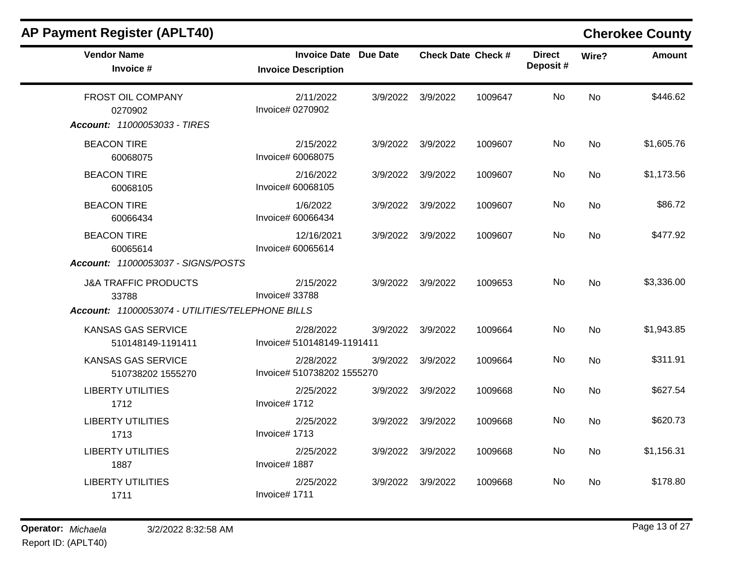| <b>AP Payment Register (APLT40)</b>                                                                                                |                                                            |          |          |                           |                           |           | <b>Cherokee County</b> |
|------------------------------------------------------------------------------------------------------------------------------------|------------------------------------------------------------|----------|----------|---------------------------|---------------------------|-----------|------------------------|
| <b>Vendor Name</b><br>Invoice #                                                                                                    | <b>Invoice Date Due Date</b><br><b>Invoice Description</b> |          |          | <b>Check Date Check #</b> | <b>Direct</b><br>Deposit# | Wire?     | <b>Amount</b>          |
| FROST OIL COMPANY<br>0270902<br>Account: 11000053033 - TIRES                                                                       | 2/11/2022<br>Invoice# 0270902                              | 3/9/2022 | 3/9/2022 | 1009647                   | No                        | <b>No</b> | \$446.62               |
| <b>BEACON TIRE</b><br>60068075                                                                                                     | 2/15/2022<br>Invoice# 60068075                             | 3/9/2022 | 3/9/2022 | 1009607                   | No                        | No        | \$1,605.76             |
| <b>BEACON TIRE</b><br>60068105                                                                                                     | 2/16/2022<br>Invoice# 60068105                             | 3/9/2022 | 3/9/2022 | 1009607                   | No                        | No        | \$1,173.56             |
| <b>BEACON TIRE</b><br>60066434                                                                                                     | 1/6/2022<br>Invoice# 60066434                              | 3/9/2022 | 3/9/2022 | 1009607                   | No.                       | <b>No</b> | \$86.72                |
| <b>BEACON TIRE</b><br>60065614                                                                                                     | 12/16/2021<br>Invoice# 60065614                            | 3/9/2022 | 3/9/2022 | 1009607                   | No                        | No        | \$477.92               |
| Account: 11000053037 - SIGNS/POSTS<br><b>J&amp;A TRAFFIC PRODUCTS</b><br>33788<br>Account: 11000053074 - UTILITIES/TELEPHONE BILLS | 2/15/2022<br>Invoice# 33788                                | 3/9/2022 | 3/9/2022 | 1009653                   | No                        | <b>No</b> | \$3,336.00             |
| <b>KANSAS GAS SERVICE</b><br>510148149-1191411                                                                                     | 2/28/2022<br>Invoice# 510148149-1191411                    | 3/9/2022 | 3/9/2022 | 1009664                   | No                        | <b>No</b> | \$1,943.85             |
| <b>KANSAS GAS SERVICE</b><br>510738202 1555270                                                                                     | 2/28/2022<br>Invoice# 510738202 1555270                    | 3/9/2022 | 3/9/2022 | 1009664                   | No                        | <b>No</b> | \$311.91               |
| <b>LIBERTY UTILITIES</b><br>1712                                                                                                   | 2/25/2022<br>Invoice# 1712                                 | 3/9/2022 | 3/9/2022 | 1009668                   | No                        | <b>No</b> | \$627.54               |
| <b>LIBERTY UTILITIES</b><br>1713                                                                                                   | 2/25/2022<br>Invoice# 1713                                 | 3/9/2022 | 3/9/2022 | 1009668                   | No.                       | No        | \$620.73               |
| <b>LIBERTY UTILITIES</b><br>1887                                                                                                   | 2/25/2022<br>Invoice# 1887                                 | 3/9/2022 | 3/9/2022 | 1009668                   | No                        | No.       | \$1,156.31             |
| <b>LIBERTY UTILITIES</b><br>1711                                                                                                   | 2/25/2022<br>Invoice# 1711                                 | 3/9/2022 | 3/9/2022 | 1009668                   | No.                       | No.       | \$178.80               |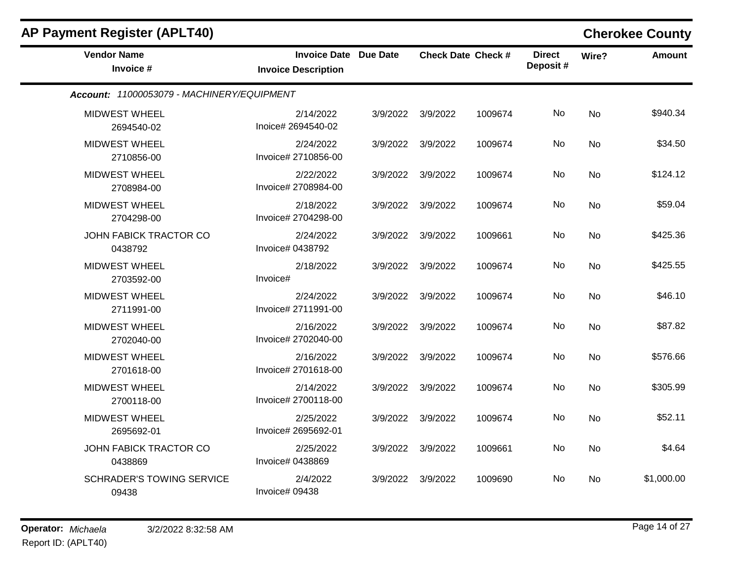| <b>AP Payment Register (APLT40)</b>        |                                                            |          |                           |         |                           |           | <b>Cherokee County</b> |
|--------------------------------------------|------------------------------------------------------------|----------|---------------------------|---------|---------------------------|-----------|------------------------|
| <b>Vendor Name</b><br>Invoice #            | <b>Invoice Date Due Date</b><br><b>Invoice Description</b> |          | <b>Check Date Check #</b> |         | <b>Direct</b><br>Deposit# | Wire?     | <b>Amount</b>          |
| Account: 11000053079 - MACHINERY/EQUIPMENT |                                                            |          |                           |         |                           |           |                        |
| <b>MIDWEST WHEEL</b><br>2694540-02         | 2/14/2022<br>Inoice# 2694540-02                            | 3/9/2022 | 3/9/2022                  | 1009674 | No                        | <b>No</b> | \$940.34               |
| <b>MIDWEST WHEEL</b><br>2710856-00         | 2/24/2022<br>Invoice# 2710856-00                           | 3/9/2022 | 3/9/2022                  | 1009674 | No                        | No        | \$34.50                |
| <b>MIDWEST WHEEL</b><br>2708984-00         | 2/22/2022<br>Invoice# 2708984-00                           | 3/9/2022 | 3/9/2022                  | 1009674 | No                        | <b>No</b> | \$124.12               |
| <b>MIDWEST WHEEL</b><br>2704298-00         | 2/18/2022<br>Invoice# 2704298-00                           | 3/9/2022 | 3/9/2022                  | 1009674 | No                        | No        | \$59.04                |
| JOHN FABICK TRACTOR CO<br>0438792          | 2/24/2022<br>Invoice# 0438792                              | 3/9/2022 | 3/9/2022                  | 1009661 | No                        | No        | \$425.36               |
| <b>MIDWEST WHEEL</b><br>2703592-00         | 2/18/2022<br>Invoice#                                      | 3/9/2022 | 3/9/2022                  | 1009674 | No                        | No        | \$425.55               |
| <b>MIDWEST WHEEL</b><br>2711991-00         | 2/24/2022<br>Invoice# 2711991-00                           | 3/9/2022 | 3/9/2022                  | 1009674 | No                        | <b>No</b> | \$46.10                |
| <b>MIDWEST WHEEL</b><br>2702040-00         | 2/16/2022<br>Invoice# 2702040-00                           | 3/9/2022 | 3/9/2022                  | 1009674 | No                        | No        | \$87.82                |
| MIDWEST WHEEL<br>2701618-00                | 2/16/2022<br>Invoice# 2701618-00                           | 3/9/2022 | 3/9/2022                  | 1009674 | <b>No</b>                 | <b>No</b> | \$576.66               |
| <b>MIDWEST WHEEL</b><br>2700118-00         | 2/14/2022<br>Invoice# 2700118-00                           | 3/9/2022 | 3/9/2022                  | 1009674 | No.                       | No        | \$305.99               |
| <b>MIDWEST WHEEL</b><br>2695692-01         | 2/25/2022<br>Invoice# 2695692-01                           | 3/9/2022 | 3/9/2022                  | 1009674 | No                        | No        | \$52.11                |
| JOHN FABICK TRACTOR CO<br>0438869          | 2/25/2022<br>Invoice# 0438869                              | 3/9/2022 | 3/9/2022                  | 1009661 | No                        | <b>No</b> | \$4.64                 |
| <b>SCHRADER'S TOWING SERVICE</b><br>09438  | 2/4/2022<br>Invoice# 09438                                 | 3/9/2022 | 3/9/2022                  | 1009690 | No                        | No        | \$1,000.00             |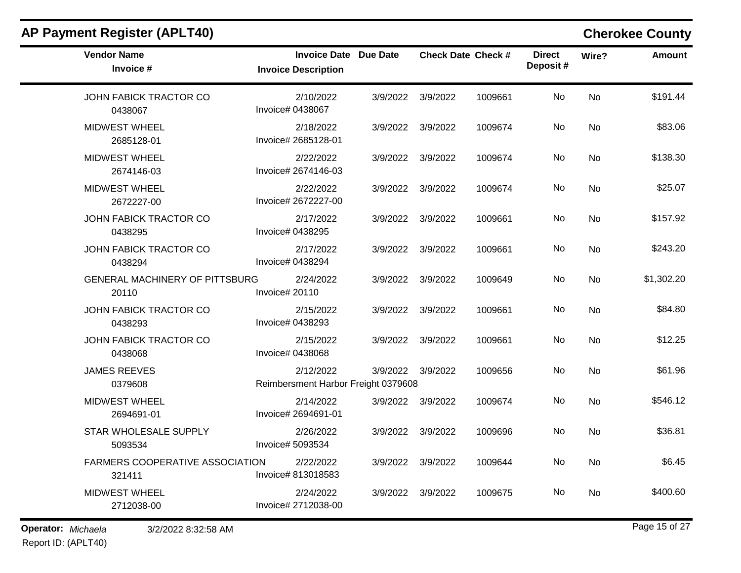| <b>Vendor Name</b><br>Invoice #                | <b>Invoice Date Due Date</b><br><b>Invoice Description</b> |          | <b>Check Date Check #</b> |         | <b>Direct</b><br>Deposit # | Wire?     | Amount     |
|------------------------------------------------|------------------------------------------------------------|----------|---------------------------|---------|----------------------------|-----------|------------|
| JOHN FABICK TRACTOR CO<br>0438067              | 2/10/2022<br>Invoice# 0438067                              | 3/9/2022 | 3/9/2022                  | 1009661 | No                         | No        | \$191.44   |
| <b>MIDWEST WHEEL</b><br>2685128-01             | 2/18/2022<br>Invoice# 2685128-01                           |          | 3/9/2022 3/9/2022         | 1009674 | No                         | <b>No</b> | \$83.06    |
| <b>MIDWEST WHEEL</b><br>2674146-03             | 2/22/2022<br>Invoice# 2674146-03                           |          | 3/9/2022 3/9/2022         | 1009674 | No                         | <b>No</b> | \$138.30   |
| <b>MIDWEST WHEEL</b><br>2672227-00             | 2/22/2022<br>Invoice# 2672227-00                           |          | 3/9/2022 3/9/2022         | 1009674 | No                         | <b>No</b> | \$25.07    |
| JOHN FABICK TRACTOR CO<br>0438295              | 2/17/2022<br>Invoice# 0438295                              |          | 3/9/2022 3/9/2022         | 1009661 | No                         | No        | \$157.92   |
| JOHN FABICK TRACTOR CO<br>0438294              | 2/17/2022<br>Invoice# 0438294                              | 3/9/2022 | 3/9/2022                  | 1009661 | No                         | No        | \$243.20   |
| <b>GENERAL MACHINERY OF PITTSBURG</b><br>20110 | 2/24/2022<br>Invoice# 20110                                |          | 3/9/2022 3/9/2022         | 1009649 | No                         | <b>No</b> | \$1,302.20 |
| JOHN FABICK TRACTOR CO<br>0438293              | 2/15/2022<br>Invoice# 0438293                              | 3/9/2022 | 3/9/2022                  | 1009661 | No                         | <b>No</b> | \$84.80    |
| JOHN FABICK TRACTOR CO<br>0438068              | 2/15/2022<br>Invoice# 0438068                              | 3/9/2022 | 3/9/2022                  | 1009661 | No                         | <b>No</b> | \$12.25    |
| <b>JAMES REEVES</b><br>0379608                 | 2/12/2022<br>Reimbersment Harbor Freight 0379608           |          | 3/9/2022 3/9/2022         | 1009656 | No                         | <b>No</b> | \$61.96    |
| <b>MIDWEST WHEEL</b><br>2694691-01             | 2/14/2022<br>Invoice# 2694691-01                           |          | 3/9/2022 3/9/2022         | 1009674 | No                         | <b>No</b> | \$546.12   |
| STAR WHOLESALE SUPPLY<br>5093534               | 2/26/2022<br>Invoice# 5093534                              |          | 3/9/2022 3/9/2022         | 1009696 | No                         | No        | \$36.81    |
| FARMERS COOPERATIVE ASSOCIATION<br>321411      | 2/22/2022<br>Invoice# 813018583                            | 3/9/2022 | 3/9/2022                  | 1009644 | No.                        | No        | \$6.45     |
| <b>MIDWEST WHEEL</b><br>2712038-00             | 2/24/2022<br>Invoice# 2712038-00                           |          | 3/9/2022 3/9/2022         | 1009675 | No                         | No.       | \$400.60   |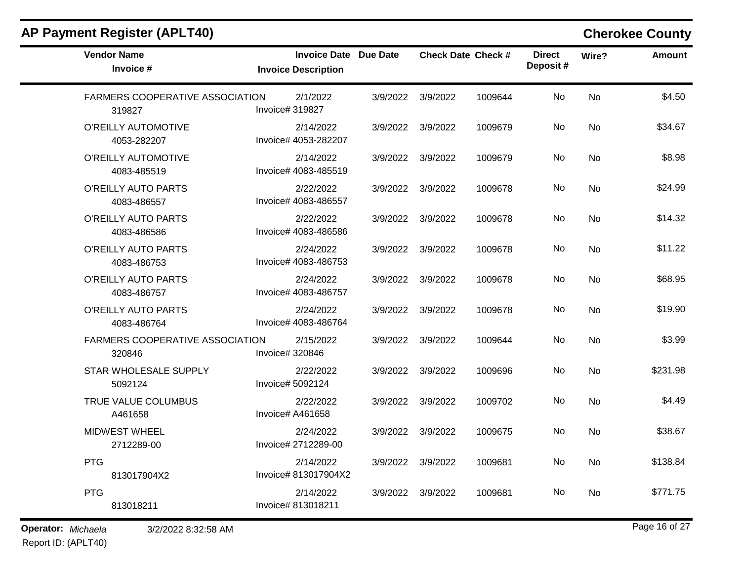| <b>Vendor Name</b><br>Invoice #                  | <b>Invoice Date Due Date</b><br><b>Invoice Description</b> |                   | <b>Check Date Check #</b> |         | <b>Direct</b><br>Deposit# | Wire?     | <b>Amount</b> |
|--------------------------------------------------|------------------------------------------------------------|-------------------|---------------------------|---------|---------------------------|-----------|---------------|
| FARMERS COOPERATIVE ASSOCIATION<br>319827        | 2/1/2022<br>Invoice# 319827                                | 3/9/2022          | 3/9/2022                  | 1009644 | No.                       | <b>No</b> | \$4.50        |
| O'REILLY AUTOMOTIVE<br>4053-282207               | 2/14/2022<br>Invoice# 4053-282207                          | 3/9/2022          | 3/9/2022                  | 1009679 | No                        | No        | \$34.67       |
| O'REILLY AUTOMOTIVE<br>4083-485519               | 2/14/2022<br>Invoice# 4083-485519                          | 3/9/2022 3/9/2022 |                           | 1009679 | No.                       | No        | \$8.98        |
| O'REILLY AUTO PARTS<br>4083-486557               | 2/22/2022<br>Invoice# 4083-486557                          | 3/9/2022          | 3/9/2022                  | 1009678 | No                        | <b>No</b> | \$24.99       |
| O'REILLY AUTO PARTS<br>4083-486586               | 2/22/2022<br>Invoice# 4083-486586                          |                   | 3/9/2022 3/9/2022         | 1009678 | No                        | <b>No</b> | \$14.32       |
| O'REILLY AUTO PARTS<br>4083-486753               | 2/24/2022<br>Invoice# 4083-486753                          | 3/9/2022          | 3/9/2022                  | 1009678 | No                        | <b>No</b> | \$11.22       |
| O'REILLY AUTO PARTS<br>4083-486757               | 2/24/2022<br>Invoice# 4083-486757                          |                   | 3/9/2022 3/9/2022         | 1009678 | No.                       | <b>No</b> | \$68.95       |
| O'REILLY AUTO PARTS<br>4083-486764               | 2/24/2022<br>Invoice# 4083-486764                          | 3/9/2022          | 3/9/2022                  | 1009678 | No                        | <b>No</b> | \$19.90       |
| <b>FARMERS COOPERATIVE ASSOCIATION</b><br>320846 | 2/15/2022<br>Invoice# 320846                               | 3/9/2022          | 3/9/2022                  | 1009644 | No                        | <b>No</b> | \$3.99        |
| STAR WHOLESALE SUPPLY<br>5092124                 | 2/22/2022<br>Invoice# 5092124                              |                   | 3/9/2022 3/9/2022         | 1009696 | No.                       | No        | \$231.98      |
| TRUE VALUE COLUMBUS<br>A461658                   | 2/22/2022<br>Invoice# A461658                              | 3/9/2022          | 3/9/2022                  | 1009702 | No                        | <b>No</b> | \$4.49        |
| MIDWEST WHEEL<br>2712289-00                      | 2/24/2022<br>Invoice# 2712289-00                           | 3/9/2022          | 3/9/2022                  | 1009675 | No                        | No        | \$38.67       |
| <b>PTG</b><br>813017904X2                        | 2/14/2022<br>Invoice# 813017904X2                          | 3/9/2022          | 3/9/2022                  | 1009681 | No.                       | <b>No</b> | \$138.84      |
| <b>PTG</b><br>813018211                          | 2/14/2022<br>Invoice# 813018211                            | 3/9/2022          | 3/9/2022                  | 1009681 | No.                       | No        | \$771.75      |

**Operator:** *Michaela* 3/2/2022 8:32:58 AM

Report ID: (APLT40)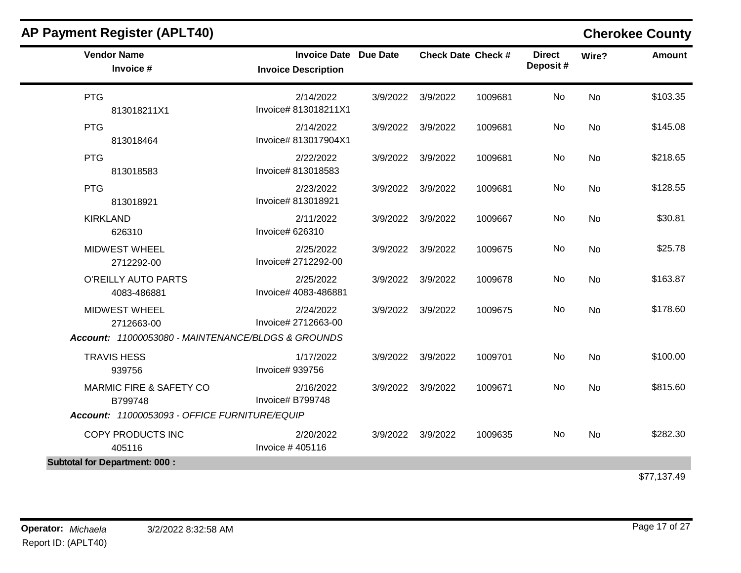| <b>Vendor Name</b><br>Invoice #                    | <b>Invoice Date Due Date</b><br><b>Invoice Description</b> |          |                   | <b>Check Date Check #</b> | <b>Direct</b><br>Deposit# | Wire?     | <b>Amount</b> |
|----------------------------------------------------|------------------------------------------------------------|----------|-------------------|---------------------------|---------------------------|-----------|---------------|
| <b>PTG</b><br>813018211X1                          | 2/14/2022<br>Invoice# 813018211X1                          |          | 3/9/2022 3/9/2022 | 1009681                   | No                        | <b>No</b> | \$103.35      |
| <b>PTG</b><br>813018464                            | 2/14/2022<br>Invoice# 813017904X1                          |          | 3/9/2022 3/9/2022 | 1009681                   | No                        | No        | \$145.08      |
| <b>PTG</b><br>813018583                            | 2/22/2022<br>Invoice# 813018583                            |          | 3/9/2022 3/9/2022 | 1009681                   | No                        | No        | \$218.65      |
| <b>PTG</b><br>813018921                            | 2/23/2022<br>Invoice# 813018921                            | 3/9/2022 | 3/9/2022          | 1009681                   | No                        | <b>No</b> | \$128.55      |
| <b>KIRKLAND</b><br>626310                          | 2/11/2022<br>Invoice# 626310                               |          | 3/9/2022 3/9/2022 | 1009667                   | No                        | No        | \$30.81       |
| <b>MIDWEST WHEEL</b><br>2712292-00                 | 2/25/2022<br>Invoice# 2712292-00                           |          | 3/9/2022 3/9/2022 | 1009675                   | No                        | No        | \$25.78       |
| O'REILLY AUTO PARTS<br>4083-486881                 | 2/25/2022<br>Invoice# 4083-486881                          |          | 3/9/2022 3/9/2022 | 1009678                   | No                        | <b>No</b> | \$163.87      |
| <b>MIDWEST WHEEL</b><br>2712663-00                 | 2/24/2022<br>Invoice# 2712663-00                           |          | 3/9/2022 3/9/2022 | 1009675                   | <b>No</b>                 | <b>No</b> | \$178.60      |
| Account: 11000053080 - MAINTENANCE/BLDGS & GROUNDS |                                                            |          |                   |                           |                           |           |               |
| <b>TRAVIS HESS</b><br>939756                       | 1/17/2022<br>Invoice# 939756                               |          | 3/9/2022 3/9/2022 | 1009701                   | No                        | <b>No</b> | \$100.00      |
| <b>MARMIC FIRE &amp; SAFETY CO</b><br>B799748      | 2/16/2022<br>Invoice# B799748                              |          | 3/9/2022 3/9/2022 | 1009671                   | No                        | No        | \$815.60      |
| Account: 11000053093 - OFFICE FURNITURE/EQUIP      |                                                            |          |                   |                           |                           |           |               |
| COPY PRODUCTS INC<br>405116                        | 2/20/2022<br>Invoice #405116                               |          | 3/9/2022 3/9/2022 | 1009635                   | No                        | <b>No</b> | \$282.30      |
| <b>Subtotal for Department: 000:</b>               |                                                            |          |                   |                           |                           |           |               |
|                                                    |                                                            |          |                   |                           |                           |           | \$77,137.49   |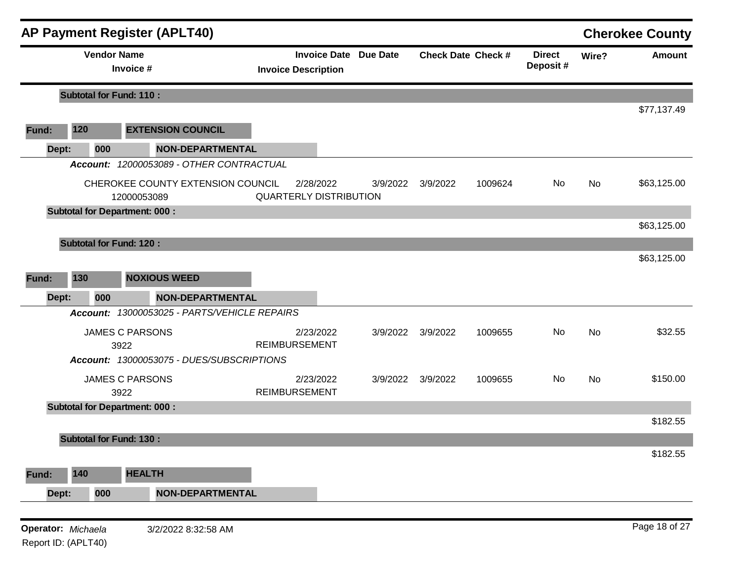|       |                    | <b>AP Payment Register (APLT40)</b>              |                                                            |          |          |                           |                           |       | <b>Cherokee County</b> |
|-------|--------------------|--------------------------------------------------|------------------------------------------------------------|----------|----------|---------------------------|---------------------------|-------|------------------------|
|       |                    | <b>Vendor Name</b><br>Invoice #                  | <b>Invoice Date Due Date</b><br><b>Invoice Description</b> |          |          | <b>Check Date Check #</b> | <b>Direct</b><br>Deposit# | Wire? | <b>Amount</b>          |
|       |                    | <b>Subtotal for Fund: 110:</b>                   |                                                            |          |          |                           |                           |       |                        |
| Fund: | 120                | <b>EXTENSION COUNCIL</b>                         |                                                            |          |          |                           |                           |       | \$77,137.49            |
|       | Dept:<br>000       | <b>NON-DEPARTMENTAL</b>                          |                                                            |          |          |                           |                           |       |                        |
|       |                    | Account: 12000053089 - OTHER CONTRACTUAL         |                                                            |          |          |                           |                           |       |                        |
|       |                    | CHEROKEE COUNTY EXTENSION COUNCIL<br>12000053089 | 2/28/2022<br><b>QUARTERLY DISTRIBUTION</b>                 | 3/9/2022 | 3/9/2022 | 1009624                   | No                        | No    | \$63,125.00            |
|       |                    | <b>Subtotal for Department: 000:</b>             |                                                            |          |          |                           |                           |       | \$63,125.00            |
|       |                    | <b>Subtotal for Fund: 120:</b>                   |                                                            |          |          |                           |                           |       |                        |
|       |                    |                                                  |                                                            |          |          |                           |                           |       | \$63,125.00            |
| Fund: | 130                | <b>NOXIOUS WEED</b>                              |                                                            |          |          |                           |                           |       |                        |
|       | 000<br>Dept:       | <b>NON-DEPARTMENTAL</b>                          |                                                            |          |          |                           |                           |       |                        |
|       |                    | Account: 13000053025 - PARTS/VEHICLE REPAIRS     |                                                            |          |          |                           |                           |       |                        |
|       |                    | <b>JAMES C PARSONS</b><br>3922                   | 2/23/2022<br><b>REIMBURSEMENT</b>                          | 3/9/2022 | 3/9/2022 | 1009655                   | No                        | No    | \$32.55                |
|       |                    | Account: 13000053075 - DUES/SUBSCRIPTIONS        |                                                            |          |          |                           |                           |       |                        |
|       |                    | <b>JAMES C PARSONS</b><br>3922                   | 2/23/2022<br><b>REIMBURSEMENT</b>                          | 3/9/2022 | 3/9/2022 | 1009655                   | No                        | No    | \$150.00               |
|       |                    | <b>Subtotal for Department: 000:</b>             |                                                            |          |          |                           |                           |       |                        |
|       |                    |                                                  |                                                            |          |          |                           |                           |       | \$182.55               |
|       |                    | <b>Subtotal for Fund: 130:</b>                   |                                                            |          |          |                           |                           |       |                        |
|       |                    |                                                  |                                                            |          |          |                           |                           |       | \$182.55               |
| Fund: | 140                | <b>HEALTH</b>                                    |                                                            |          |          |                           |                           |       |                        |
|       | 000<br>Dept:       | <b>NON-DEPARTMENTAL</b>                          |                                                            |          |          |                           |                           |       |                        |
|       |                    |                                                  |                                                            |          |          |                           |                           |       |                        |
|       | Operator: Michaela | 3/2/2022 8:32:58 AM                              |                                                            |          |          |                           |                           |       | Page 18 of 27          |

Report ID: (APLT40)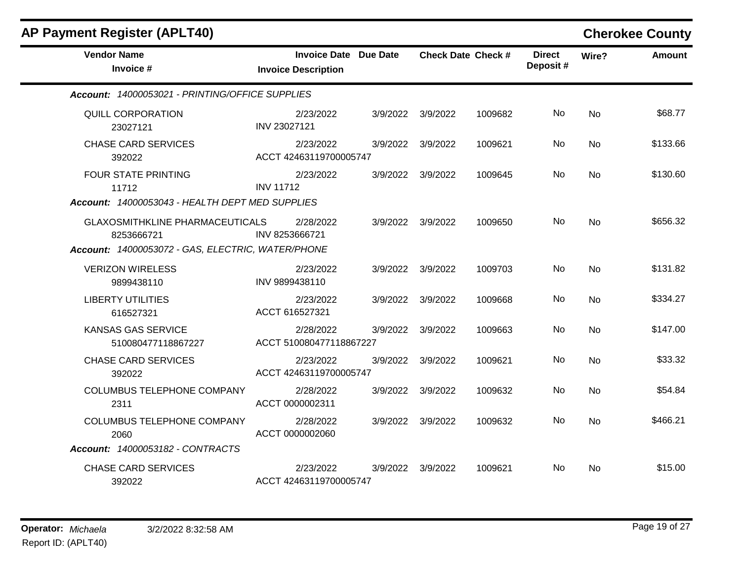| <b>AP Payment Register (APLT40)</b>                                                                       |                                                            |          |                   |                           |                           |           | <b>Cherokee County</b> |
|-----------------------------------------------------------------------------------------------------------|------------------------------------------------------------|----------|-------------------|---------------------------|---------------------------|-----------|------------------------|
| <b>Vendor Name</b><br>Invoice #                                                                           | <b>Invoice Date Due Date</b><br><b>Invoice Description</b> |          |                   | <b>Check Date Check #</b> | <b>Direct</b><br>Deposit# | Wire?     | <b>Amount</b>          |
| Account: 14000053021 - PRINTING/OFFICE SUPPLIES                                                           |                                                            |          |                   |                           |                           |           |                        |
| <b>QUILL CORPORATION</b><br>23027121                                                                      | 2/23/2022<br>INV 23027121                                  |          | 3/9/2022 3/9/2022 | 1009682                   | No                        | <b>No</b> | \$68.77                |
| <b>CHASE CARD SERVICES</b><br>392022                                                                      | 2/23/2022<br>ACCT 42463119700005747                        | 3/9/2022 | 3/9/2022          | 1009621                   | No                        | No        | \$133.66               |
| <b>FOUR STATE PRINTING</b><br>11712<br>Account: 14000053043 - HEALTH DEPT MED SUPPLIES                    | 2/23/2022<br><b>INV 11712</b>                              | 3/9/2022 | 3/9/2022          | 1009645                   | No                        | No        | \$130.60               |
| <b>GLAXOSMITHKLINE PHARMACEUTICALS</b><br>8253666721<br>Account: 14000053072 - GAS, ELECTRIC, WATER/PHONE | 2/28/2022<br>INV 8253666721                                | 3/9/2022 | 3/9/2022          | 1009650                   | No.                       | No        | \$656.32               |
| <b>VERIZON WIRELESS</b><br>9899438110                                                                     | 2/23/2022<br>INV 9899438110                                | 3/9/2022 | 3/9/2022          | 1009703                   | No.                       | No        | \$131.82               |
| <b>LIBERTY UTILITIES</b><br>616527321                                                                     | 2/23/2022<br>ACCT 616527321                                | 3/9/2022 | 3/9/2022          | 1009668                   | No                        | <b>No</b> | \$334.27               |
| <b>KANSAS GAS SERVICE</b><br>510080477118867227                                                           | 2/28/2022<br>ACCT 510080477118867227                       | 3/9/2022 | 3/9/2022          | 1009663                   | No.                       | <b>No</b> | \$147.00               |
| <b>CHASE CARD SERVICES</b><br>392022                                                                      | 2/23/2022<br>ACCT 42463119700005747                        | 3/9/2022 | 3/9/2022          | 1009621                   | No                        | <b>No</b> | \$33.32                |
| COLUMBUS TELEPHONE COMPANY<br>2311                                                                        | 2/28/2022<br>ACCT 0000002311                               | 3/9/2022 | 3/9/2022          | 1009632                   | No.                       | <b>No</b> | \$54.84                |
| <b>COLUMBUS TELEPHONE COMPANY</b><br>2060                                                                 | 2/28/2022<br>ACCT 0000002060                               | 3/9/2022 | 3/9/2022          | 1009632                   | No                        | <b>No</b> | \$466.21               |
| Account: 14000053182 - CONTRACTS                                                                          |                                                            |          |                   |                           |                           |           |                        |
| <b>CHASE CARD SERVICES</b><br>392022                                                                      | 2/23/2022<br>ACCT 42463119700005747                        | 3/9/2022 | 3/9/2022          | 1009621                   | No.                       | No        | \$15.00                |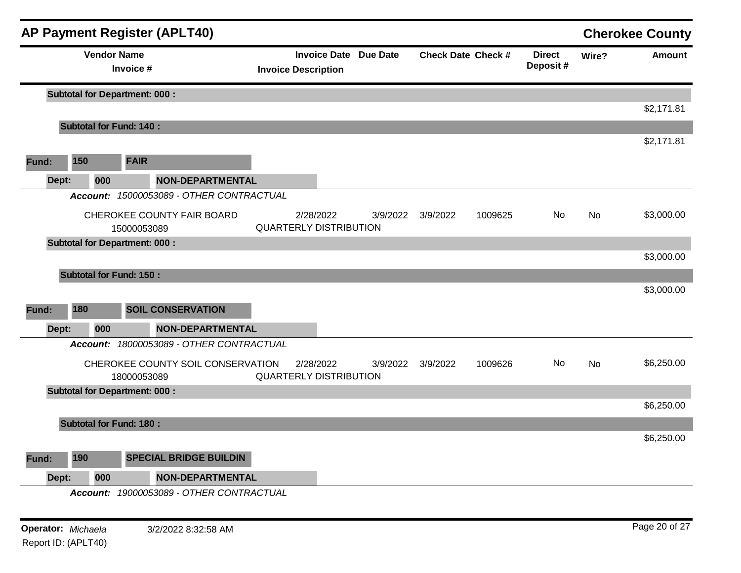|       |          | <b>AP Payment Register (APLT40)</b>       |                                          |                                                            |          |                           |         |                           |           | <b>Cherokee County</b> |
|-------|----------|-------------------------------------------|------------------------------------------|------------------------------------------------------------|----------|---------------------------|---------|---------------------------|-----------|------------------------|
|       |          | <b>Vendor Name</b><br>Invoice #           |                                          | <b>Invoice Date Due Date</b><br><b>Invoice Description</b> |          | <b>Check Date Check #</b> |         | <b>Direct</b><br>Deposit# | Wire?     | <b>Amount</b>          |
|       |          | <b>Subtotal for Department: 000:</b>      |                                          |                                                            |          |                           |         |                           |           |                        |
|       |          |                                           |                                          |                                                            |          |                           |         |                           |           | \$2,171.81             |
|       |          | <b>Subtotal for Fund: 140:</b>            |                                          |                                                            |          |                           |         |                           |           |                        |
|       |          |                                           |                                          |                                                            |          |                           |         |                           |           | \$2,171.81             |
| Fund: | 150      | <b>FAIR</b>                               |                                          |                                                            |          |                           |         |                           |           |                        |
| Dept: | 000      |                                           | <b>NON-DEPARTMENTAL</b>                  |                                                            |          |                           |         |                           |           |                        |
|       |          |                                           | Account: 15000053089 - OTHER CONTRACTUAL |                                                            |          |                           |         |                           |           |                        |
|       |          | CHEROKEE COUNTY FAIR BOARD<br>15000053089 |                                          | 2/28/2022<br><b>QUARTERLY DISTRIBUTION</b>                 | 3/9/2022 | 3/9/2022                  | 1009625 | No.                       | <b>No</b> | \$3,000.00             |
|       |          | <b>Subtotal for Department: 000:</b>      |                                          |                                                            |          |                           |         |                           |           |                        |
|       |          |                                           |                                          |                                                            |          |                           |         |                           |           | \$3,000.00             |
|       |          | <b>Subtotal for Fund: 150:</b>            |                                          |                                                            |          |                           |         |                           |           |                        |
|       |          |                                           |                                          |                                                            |          |                           |         |                           |           | \$3,000.00             |
| Fund: | 180      | <b>SOIL CONSERVATION</b>                  |                                          |                                                            |          |                           |         |                           |           |                        |
| Dept: | 000      |                                           | <b>NON-DEPARTMENTAL</b>                  |                                                            |          |                           |         |                           |           |                        |
|       |          |                                           | Account: 18000053089 - OTHER CONTRACTUAL |                                                            |          |                           |         |                           |           |                        |
|       |          | 18000053089                               | CHEROKEE COUNTY SOIL CONSERVATION        | 2/28/2022<br><b>QUARTERLY DISTRIBUTION</b>                 | 3/9/2022 | 3/9/2022                  | 1009626 | No                        | No        | \$6,250.00             |
|       |          | <b>Subtotal for Department: 000:</b>      |                                          |                                                            |          |                           |         |                           |           |                        |
|       |          |                                           |                                          |                                                            |          |                           |         |                           |           | \$6,250.00             |
|       |          | <b>Subtotal for Fund: 180:</b>            |                                          |                                                            |          |                           |         |                           |           |                        |
|       |          |                                           |                                          |                                                            |          |                           |         |                           |           | \$6,250.00             |
| Fund: | 190      |                                           | <b>SPECIAL BRIDGE BUILDIN</b>            |                                                            |          |                           |         |                           |           |                        |
| Dept: | 000      |                                           | NON-DEPARTMENTAL                         |                                                            |          |                           |         |                           |           |                        |
|       | Account: |                                           | 19000053089 - OTHER CONTRACTUAL          |                                                            |          |                           |         |                           |           |                        |
|       |          |                                           |                                          |                                                            |          |                           |         |                           |           |                        |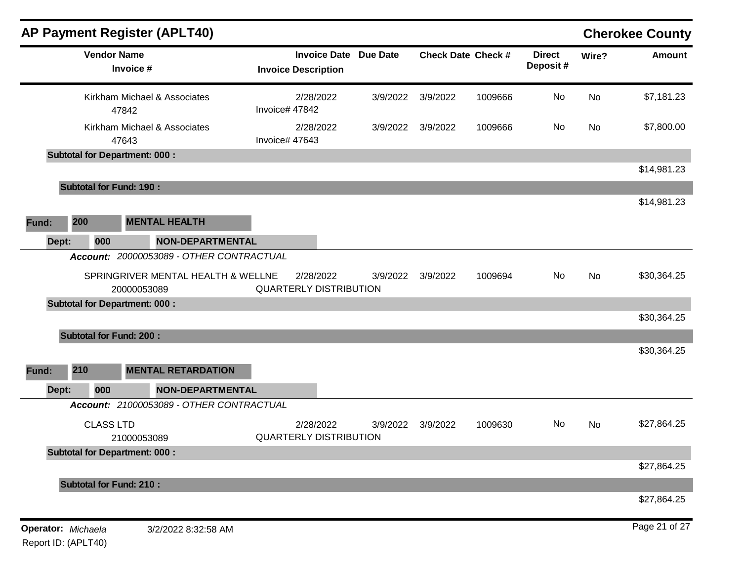|                           |                    | <b>AP Payment Register (APLT40)</b>               |                |                                                            |          |          |                           |                           |           | <b>Cherokee County</b> |
|---------------------------|--------------------|---------------------------------------------------|----------------|------------------------------------------------------------|----------|----------|---------------------------|---------------------------|-----------|------------------------|
|                           | <b>Vendor Name</b> | Invoice #                                         |                | <b>Invoice Date Due Date</b><br><b>Invoice Description</b> |          |          | <b>Check Date Check #</b> | <b>Direct</b><br>Deposit# | Wire?     | Amount                 |
|                           |                    | Kirkham Michael & Associates<br>47842             | Invoice# 47842 | 2/28/2022                                                  | 3/9/2022 | 3/9/2022 | 1009666                   | No                        | No        | \$7,181.23             |
|                           |                    | Kirkham Michael & Associates<br>47643             | Invoice# 47643 | 2/28/2022                                                  | 3/9/2022 | 3/9/2022 | 1009666                   | No                        | <b>No</b> | \$7,800.00             |
|                           |                    | <b>Subtotal for Department: 000:</b>              |                |                                                            |          |          |                           |                           |           |                        |
|                           |                    |                                                   |                |                                                            |          |          |                           |                           |           | \$14,981.23            |
|                           |                    | <b>Subtotal for Fund: 190:</b>                    |                |                                                            |          |          |                           |                           |           | \$14,981.23            |
| Fund:<br>Dept:            | 200<br>000         | <b>MENTAL HEALTH</b><br><b>NON-DEPARTMENTAL</b>   |                |                                                            |          |          |                           |                           |           |                        |
|                           |                    | Account: 20000053089 - OTHER CONTRACTUAL          |                |                                                            |          |          |                           |                           |           |                        |
|                           |                    | SPRINGRIVER MENTAL HEALTH & WELLNE<br>20000053089 |                | 2/28/2022<br><b>QUARTERLY DISTRIBUTION</b>                 | 3/9/2022 | 3/9/2022 | 1009694                   | No                        | No        | \$30,364.25            |
|                           |                    | <b>Subtotal for Department: 000:</b>              |                |                                                            |          |          |                           |                           |           |                        |
|                           |                    |                                                   |                |                                                            |          |          |                           |                           |           | \$30,364.25            |
|                           |                    | <b>Subtotal for Fund: 200:</b>                    |                |                                                            |          |          |                           |                           |           | \$30,364.25            |
| Fund:                     | 210                | <b>MENTAL RETARDATION</b>                         |                |                                                            |          |          |                           |                           |           |                        |
| Dept:                     | 000                | <b>NON-DEPARTMENTAL</b>                           |                |                                                            |          |          |                           |                           |           |                        |
|                           |                    | Account: 21000053089 - OTHER CONTRACTUAL          |                |                                                            |          |          |                           |                           |           |                        |
|                           | <b>CLASS LTD</b>   | 21000053089                                       |                | 2/28/2022<br><b>QUARTERLY DISTRIBUTION</b>                 | 3/9/2022 | 3/9/2022 | 1009630                   | No.                       | No        | \$27,864.25            |
|                           |                    | <b>Subtotal for Department: 000:</b>              |                |                                                            |          |          |                           |                           |           |                        |
|                           |                    |                                                   |                |                                                            |          |          |                           |                           |           | \$27,864.25            |
|                           |                    | <b>Subtotal for Fund: 210:</b>                    |                |                                                            |          |          |                           |                           |           | \$27,864.25            |
| <b>Operator:</b> Michaela |                    | 3/2/2022 8:32:58 AM                               |                |                                                            |          |          |                           |                           |           | Page 21 of 27          |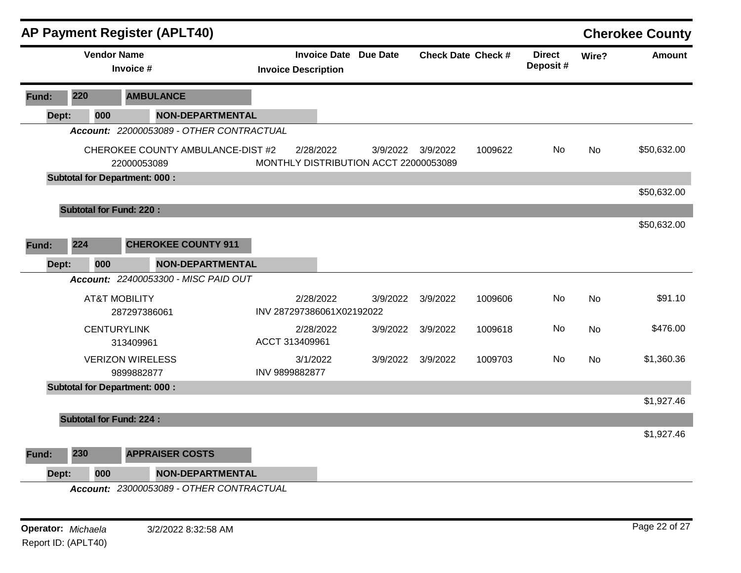|       |     |                                          | <b>AP Payment Register (APLT40)</b>      |                                       |           |                              |          |                           |                           |           | <b>Cherokee County</b> |
|-------|-----|------------------------------------------|------------------------------------------|---------------------------------------|-----------|------------------------------|----------|---------------------------|---------------------------|-----------|------------------------|
|       |     | <b>Vendor Name</b><br>Invoice #          |                                          | <b>Invoice Description</b>            |           | <b>Invoice Date Due Date</b> |          | <b>Check Date Check #</b> | <b>Direct</b><br>Deposit# | Wire?     | <b>Amount</b>          |
| Fund: | 220 |                                          | <b>AMBULANCE</b>                         |                                       |           |                              |          |                           |                           |           |                        |
| Dept: | 000 |                                          | <b>NON-DEPARTMENTAL</b>                  |                                       |           |                              |          |                           |                           |           |                        |
|       |     |                                          | Account: 22000053089 - OTHER CONTRACTUAL |                                       |           |                              |          |                           |                           |           |                        |
|       |     | 22000053089                              | CHEROKEE COUNTY AMBULANCE-DIST #2        | MONTHLY DISTRIBUTION ACCT 22000053089 | 2/28/2022 | 3/9/2022                     | 3/9/2022 | 1009622                   | No.                       | No        | \$50,632.00            |
|       |     | <b>Subtotal for Department: 000:</b>     |                                          |                                       |           |                              |          |                           |                           |           |                        |
|       |     |                                          |                                          |                                       |           |                              |          |                           |                           |           | \$50,632.00            |
|       |     | <b>Subtotal for Fund: 220:</b>           |                                          |                                       |           |                              |          |                           |                           |           |                        |
|       |     |                                          |                                          |                                       |           |                              |          |                           |                           |           | \$50,632.00            |
| Fund: | 224 |                                          | <b>CHEROKEE COUNTY 911</b>               |                                       |           |                              |          |                           |                           |           |                        |
| Dept: | 000 |                                          | <b>NON-DEPARTMENTAL</b>                  |                                       |           |                              |          |                           |                           |           |                        |
|       |     |                                          | Account: 22400053300 - MISC PAID OUT     |                                       |           |                              |          |                           |                           |           |                        |
|       |     | <b>AT&amp;T MOBILITY</b><br>287297386061 |                                          | INV 287297386061X02192022             | 2/28/2022 | 3/9/2022                     | 3/9/2022 | 1009606                   | No                        | <b>No</b> | \$91.10                |
|       |     | <b>CENTURYLINK</b><br>313409961          |                                          | ACCT 313409961                        | 2/28/2022 | 3/9/2022                     | 3/9/2022 | 1009618                   | No.                       | <b>No</b> | \$476.00               |
|       |     | <b>VERIZON WIRELESS</b><br>9899882877    |                                          | 3/1/2022<br>INV 9899882877            |           | 3/9/2022                     | 3/9/2022 | 1009703                   | No.                       | <b>No</b> | \$1,360.36             |
|       |     | <b>Subtotal for Department: 000:</b>     |                                          |                                       |           |                              |          |                           |                           |           |                        |
|       |     |                                          |                                          |                                       |           |                              |          |                           |                           |           | \$1,927.46             |
|       |     | <b>Subtotal for Fund: 224:</b>           |                                          |                                       |           |                              |          |                           |                           |           |                        |
|       |     |                                          |                                          |                                       |           |                              |          |                           |                           |           | \$1,927.46             |
| Fund: | 230 |                                          | <b>APPRAISER COSTS</b>                   |                                       |           |                              |          |                           |                           |           |                        |
| Dept: | 000 |                                          | <b>NON-DEPARTMENTAL</b>                  |                                       |           |                              |          |                           |                           |           |                        |
|       |     |                                          | Account: 23000053089 - OTHER CONTRACTUAL |                                       |           |                              |          |                           |                           |           |                        |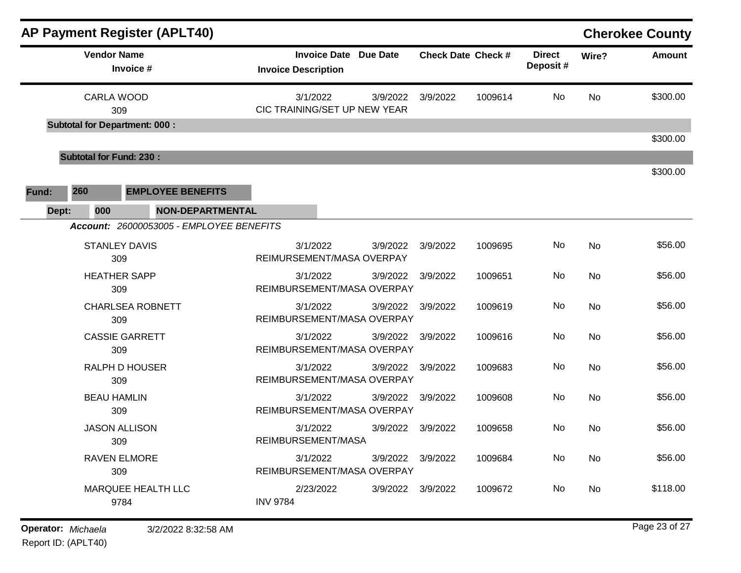| <b>AP Payment Register (APLT40)</b>                                                 |                                |                                                 |                           |         |                           |           | <b>Cherokee County</b> |
|-------------------------------------------------------------------------------------|--------------------------------|-------------------------------------------------|---------------------------|---------|---------------------------|-----------|------------------------|
| <b>Vendor Name</b><br>Invoice #                                                     | <b>Invoice Description</b>     | <b>Invoice Date Due Date</b>                    | <b>Check Date Check #</b> |         | <b>Direct</b><br>Deposit# | Wire?     | Amount                 |
| <b>CARLA WOOD</b><br>309<br><b>Subtotal for Department: 000:</b>                    | 3/1/2022                       | 3/9/2022<br>CIC TRAINING/SET UP NEW YEAR        | 3/9/2022                  | 1009614 | No                        | <b>No</b> | \$300.00               |
|                                                                                     |                                |                                                 |                           |         |                           |           | \$300.00               |
| <b>Subtotal for Fund: 230:</b>                                                      |                                |                                                 |                           |         |                           |           |                        |
| 260<br><b>EMPLOYEE BENEFITS</b><br>Fund:<br><b>NON-DEPARTMENTAL</b><br>000<br>Dept: |                                |                                                 |                           |         |                           |           | \$300.00               |
| Account: 26000053005 - EMPLOYEE BENEFITS                                            |                                |                                                 |                           |         |                           |           |                        |
| <b>STANLEY DAVIS</b><br>309                                                         | 3/1/2022                       | 3/9/2022<br>REIMURSEMENT/MASA OVERPAY           | 3/9/2022                  | 1009695 | No                        | No        | \$56.00                |
| <b>HEATHER SAPP</b><br>309                                                          | 3/1/2022                       | 3/9/2022<br>REIMBURSEMENT/MASA OVERPAY          | 3/9/2022                  | 1009651 | No                        | No        | \$56.00                |
| <b>CHARLSEA ROBNETT</b><br>309                                                      | 3/1/2022                       | 3/9/2022<br>REIMBURSEMENT/MASA OVERPAY          | 3/9/2022                  | 1009619 | No                        | No        | \$56.00                |
| <b>CASSIE GARRETT</b><br>309                                                        | 3/1/2022                       | 3/9/2022<br>REIMBURSEMENT/MASA OVERPAY          | 3/9/2022                  | 1009616 | No                        | No        | \$56.00                |
| <b>RALPH D HOUSER</b><br>309                                                        | 3/1/2022                       | 3/9/2022<br>REIMBURSEMENT/MASA OVERPAY          | 3/9/2022                  | 1009683 | No                        | No        | \$56.00                |
| <b>BEAU HAMLIN</b><br>309                                                           | 3/1/2022                       | 3/9/2022<br>REIMBURSEMENT/MASA OVERPAY          | 3/9/2022                  | 1009608 | No                        | No        | \$56.00                |
| <b>JASON ALLISON</b><br>309                                                         | 3/1/2022<br>REIMBURSEMENT/MASA | 3/9/2022                                        | 3/9/2022                  | 1009658 | No                        | No        | \$56.00                |
| <b>RAVEN ELMORE</b><br>309                                                          | 3/1/2022                       | 3/9/2022 3/9/2022<br>REIMBURSEMENT/MASA OVERPAY |                           | 1009684 | No                        | No        | \$56.00                |
| MARQUEE HEALTH LLC<br>9784                                                          | 2/23/2022<br><b>INV 9784</b>   | 3/9/2022 3/9/2022                               |                           | 1009672 | No                        | No        | \$118.00               |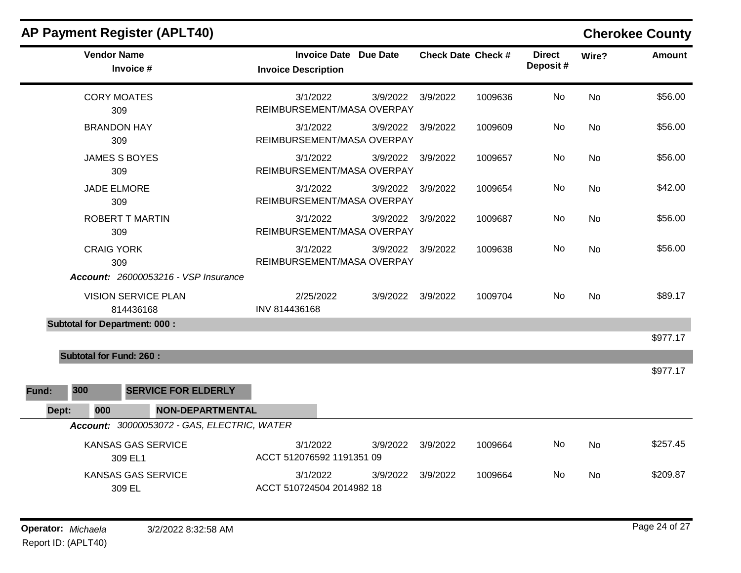|       |     |                                | <b>AP Payment Register (APLT40)</b>         |                                        |           |                              |          |                    |                           |           | <b>Cherokee County</b> |
|-------|-----|--------------------------------|---------------------------------------------|----------------------------------------|-----------|------------------------------|----------|--------------------|---------------------------|-----------|------------------------|
|       |     | <b>Vendor Name</b>             | Invoice #                                   | <b>Invoice Description</b>             |           | <b>Invoice Date Due Date</b> |          | Check Date Check # | <b>Direct</b><br>Deposit# | Wire?     | <b>Amount</b>          |
|       |     | <b>CORY MOATES</b><br>309      |                                             | 3/1/2022<br>REIMBURSEMENT/MASA OVERPAY |           | 3/9/2022                     | 3/9/2022 | 1009636            | No                        | <b>No</b> | \$56.00                |
|       |     | <b>BRANDON HAY</b><br>309      |                                             | 3/1/2022<br>REIMBURSEMENT/MASA OVERPAY |           | 3/9/2022                     | 3/9/2022 | 1009609            | No                        | <b>No</b> | \$56.00                |
|       |     | <b>JAMES S BOYES</b><br>309    |                                             | 3/1/2022<br>REIMBURSEMENT/MASA OVERPAY |           | 3/9/2022                     | 3/9/2022 | 1009657            | No.                       | <b>No</b> | \$56.00                |
|       |     | <b>JADE ELMORE</b><br>309      |                                             | 3/1/2022<br>REIMBURSEMENT/MASA OVERPAY |           | 3/9/2022                     | 3/9/2022 | 1009654            | No.                       | <b>No</b> | \$42.00                |
|       |     | 309                            | ROBERT T MARTIN                             | 3/1/2022<br>REIMBURSEMENT/MASA OVERPAY |           | 3/9/2022                     | 3/9/2022 | 1009687            | No                        | <b>No</b> | \$56.00                |
|       |     | <b>CRAIG YORK</b><br>309       |                                             | 3/1/2022<br>REIMBURSEMENT/MASA OVERPAY |           | 3/9/2022                     | 3/9/2022 | 1009638            | No                        | No        | \$56.00                |
|       |     |                                | <b>Account: 26000053216 - VSP Insurance</b> |                                        |           |                              |          |                    |                           |           |                        |
|       |     |                                | <b>VISION SERVICE PLAN</b><br>814436168     | INV 814436168                          | 2/25/2022 | 3/9/2022                     | 3/9/2022 | 1009704            | <b>No</b>                 | No        | \$89.17                |
|       |     |                                | <b>Subtotal for Department: 000:</b>        |                                        |           |                              |          |                    |                           |           |                        |
|       |     |                                |                                             |                                        |           |                              |          |                    |                           |           | \$977.17               |
|       |     | <b>Subtotal for Fund: 260:</b> |                                             |                                        |           |                              |          |                    |                           |           | \$977.17               |
| Fund: | 300 |                                | <b>SERVICE FOR ELDERLY</b>                  |                                        |           |                              |          |                    |                           |           |                        |
| Dept: |     | 000                            | NON-DEPARTMENTAL                            |                                        |           |                              |          |                    |                           |           |                        |
|       |     |                                | Account: 30000053072 - GAS, ELECTRIC, WATER |                                        |           |                              |          |                    |                           |           |                        |
|       |     |                                | KANSAS GAS SERVICE<br>309 EL1               | 3/1/2022<br>ACCT 512076592 1191351 09  |           | 3/9/2022                     | 3/9/2022 | 1009664            | No                        | No        | \$257.45               |
|       |     |                                | <b>KANSAS GAS SERVICE</b><br>309 EL         | 3/1/2022<br>ACCT 510724504 2014982 18  |           | 3/9/2022                     | 3/9/2022 | 1009664            | No                        | <b>No</b> | \$209.87               |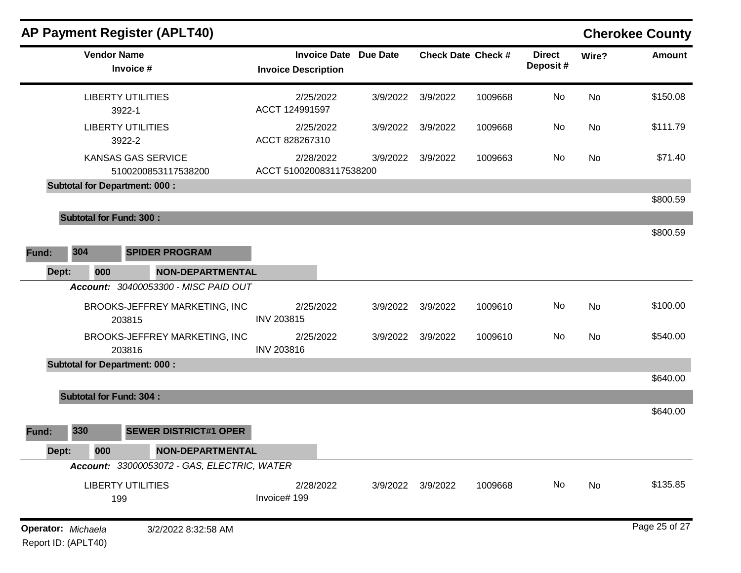|                    |       |                    |                                      | <b>AP Payment Register (APLT40)</b>              |                                      |                              |                   |                    |                            |       | <b>Cherokee County</b> |
|--------------------|-------|--------------------|--------------------------------------|--------------------------------------------------|--------------------------------------|------------------------------|-------------------|--------------------|----------------------------|-------|------------------------|
|                    |       | <b>Vendor Name</b> | Invoice #                            |                                                  | <b>Invoice Description</b>           | <b>Invoice Date Due Date</b> |                   | Check Date Check # | <b>Direct</b><br>Deposit # | Wire? | <b>Amount</b>          |
|                    |       |                    | <b>LIBERTY UTILITIES</b><br>3922-1   |                                                  | 2/25/2022<br>ACCT 124991597          | 3/9/2022                     | 3/9/2022          | 1009668            | No                         | No    | \$150.08               |
|                    |       |                    | <b>LIBERTY UTILITIES</b><br>3922-2   |                                                  | 2/25/2022<br>ACCT 828267310          |                              | 3/9/2022 3/9/2022 | 1009668            | No                         | No    | \$111.79               |
|                    |       |                    |                                      | <b>KANSAS GAS SERVICE</b><br>5100200853117538200 | 2/28/2022<br>ACCT 510020083117538200 | 3/9/2022                     | 3/9/2022          | 1009663            | No                         | No    | \$71.40                |
|                    |       |                    | <b>Subtotal for Department: 000:</b> |                                                  |                                      |                              |                   |                    |                            |       |                        |
|                    |       |                    |                                      |                                                  |                                      |                              |                   |                    |                            |       | \$800.59               |
|                    |       |                    | <b>Subtotal for Fund: 300:</b>       |                                                  |                                      |                              |                   |                    |                            |       |                        |
|                    |       |                    |                                      |                                                  |                                      |                              |                   |                    |                            |       | \$800.59               |
| Fund:              | 304   |                    |                                      | <b>SPIDER PROGRAM</b>                            |                                      |                              |                   |                    |                            |       |                        |
|                    | Dept: | 000                |                                      | <b>NON-DEPARTMENTAL</b>                          |                                      |                              |                   |                    |                            |       |                        |
|                    |       |                    |                                      | Account: 30400053300 - MISC PAID OUT             |                                      |                              |                   |                    |                            |       |                        |
|                    |       |                    | 203815                               | BROOKS-JEFFREY MARKETING, INC                    | 2/25/2022<br><b>INV 203815</b>       | 3/9/2022                     | 3/9/2022          | 1009610            | No                         | No    | \$100.00               |
|                    |       |                    | 203816                               | BROOKS-JEFFREY MARKETING, INC                    | 2/25/2022<br><b>INV 203816</b>       |                              | 3/9/2022 3/9/2022 | 1009610            | No                         | No    | \$540.00               |
|                    |       |                    | <b>Subtotal for Department: 000:</b> |                                                  |                                      |                              |                   |                    |                            |       |                        |
|                    |       |                    |                                      |                                                  |                                      |                              |                   |                    |                            |       | \$640.00               |
|                    |       |                    | <b>Subtotal for Fund: 304:</b>       |                                                  |                                      |                              |                   |                    |                            |       |                        |
|                    |       |                    |                                      |                                                  |                                      |                              |                   |                    |                            |       | \$640.00               |
| Fund:              | 330   |                    |                                      | <b>SEWER DISTRICT#1 OPER</b>                     |                                      |                              |                   |                    |                            |       |                        |
|                    | Dept: | 000                |                                      | NON-DEPARTMENTAL                                 |                                      |                              |                   |                    |                            |       |                        |
|                    |       |                    |                                      | Account: 33000053072 - GAS, ELECTRIC, WATER      |                                      |                              |                   |                    |                            |       |                        |
|                    |       |                    | <b>LIBERTY UTILITIES</b><br>199      |                                                  | 2/28/2022<br>Invoice# 199            |                              | 3/9/2022 3/9/2022 | 1009668            | No                         | No    | \$135.85               |
| Operator: Michaela |       |                    |                                      | 3/2/2022 8:32:58 AM                              |                                      |                              |                   |                    |                            |       | Page 25 of 27          |

**Operator:** Michaela<br>Report ID: (APLT40)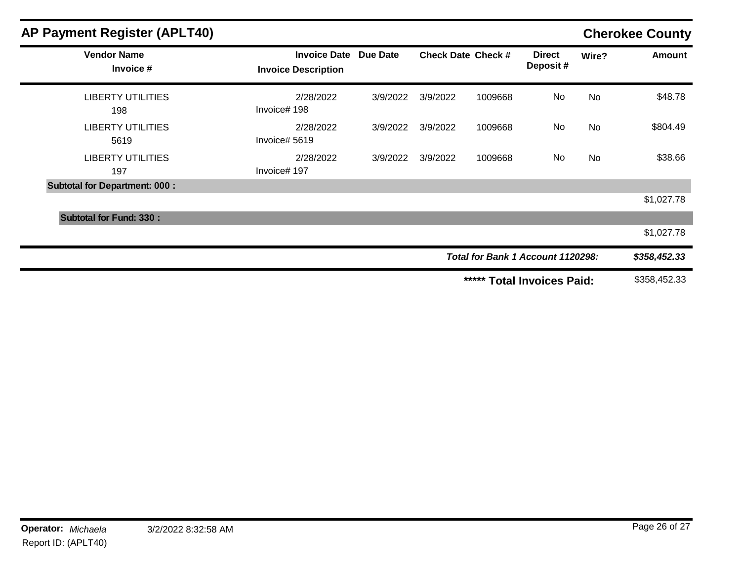| <b>AP Payment Register (APLT40)</b>  |                                                   |          |                           |                                      |                           | <b>Cherokee County</b> |               |
|--------------------------------------|---------------------------------------------------|----------|---------------------------|--------------------------------------|---------------------------|------------------------|---------------|
| <b>Vendor Name</b><br>Invoice #      | <b>Invoice Date</b><br><b>Invoice Description</b> | Due Date | <b>Check Date Check #</b> |                                      | <b>Direct</b><br>Deposit# | Wire?                  | <b>Amount</b> |
| <b>LIBERTY UTILITIES</b><br>198      | 2/28/2022<br>Invoice# 198                         | 3/9/2022 | 3/9/2022                  | 1009668                              | No                        | <b>No</b>              | \$48.78       |
| <b>LIBERTY UTILITIES</b><br>5619     | 2/28/2022<br>Invoice# 5619                        | 3/9/2022 | 3/9/2022                  | 1009668                              | No                        | <b>No</b>              | \$804.49      |
| <b>LIBERTY UTILITIES</b><br>197      | 2/28/2022<br>Invoice# 197                         | 3/9/2022 | 3/9/2022                  | 1009668                              | No                        | <b>No</b>              | \$38.66       |
| <b>Subtotal for Department: 000:</b> |                                                   |          |                           |                                      |                           |                        |               |
|                                      |                                                   |          |                           |                                      |                           |                        | \$1,027.78    |
| <b>Subtotal for Fund: 330:</b>       |                                                   |          |                           |                                      |                           |                        |               |
|                                      |                                                   |          |                           |                                      |                           |                        | \$1,027.78    |
|                                      |                                                   |          |                           | Total for Bank 1 Account 1120298:    |                           | \$358,452.33           |               |
|                                      |                                                   |          |                           | *****<br><b>Total Invoices Paid:</b> |                           | \$358,452.33           |               |